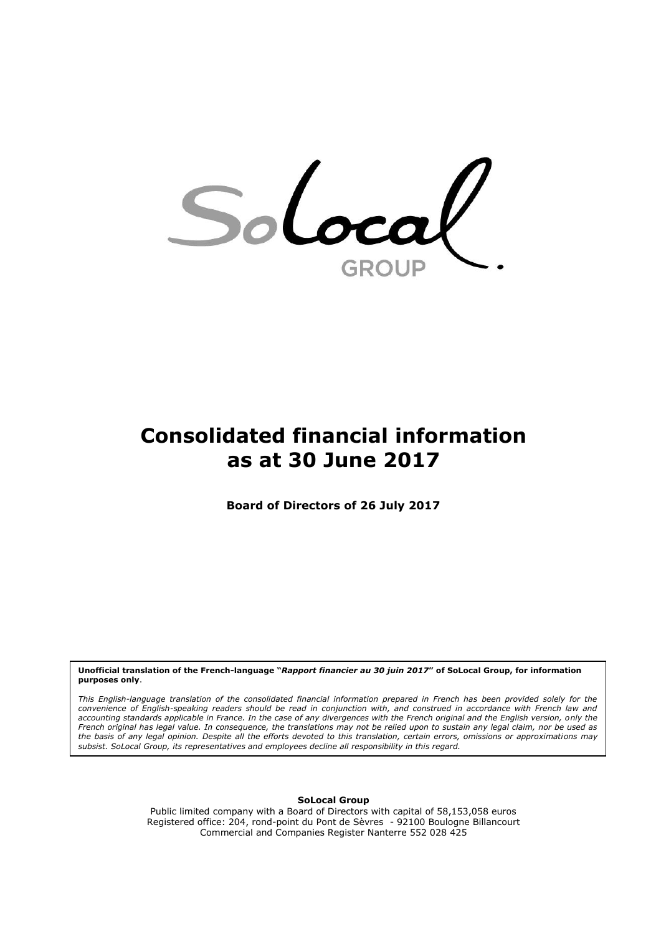Sol cal GROUP

# **Consolidated financial information as at 30 June 2017**

**Board of Directors of 26 July 2017**

**Unofficial translation of the French-language "***Rapport financier au 30 juin 2017***" of SoLocal Group, for information purposes only**.

*This English-language translation of the consolidated financial information prepared in French has been provided solely for the convenience of English-speaking readers should be read in conjunction with, and construed in accordance with French law and accounting standards applicable in France. In the case of any divergences with the French original and the English version, only the French original has legal value. In consequence, the translations may not be relied upon to sustain any legal claim, nor be used as the basis of any legal opinion. Despite all the efforts devoted to this translation, certain errors, omissions or approximations may subsist. SoLocal Group, its representatives and employees decline all responsibility in this regard.*

#### **SoLocal Group**

Public limited company with a Board of Directors with capital of 58,153,058 euros Registered office: 204, rond-point du Pont de Sèvres - 92100 Boulogne Billancourt Commercial and Companies Register Nanterre 552 028 425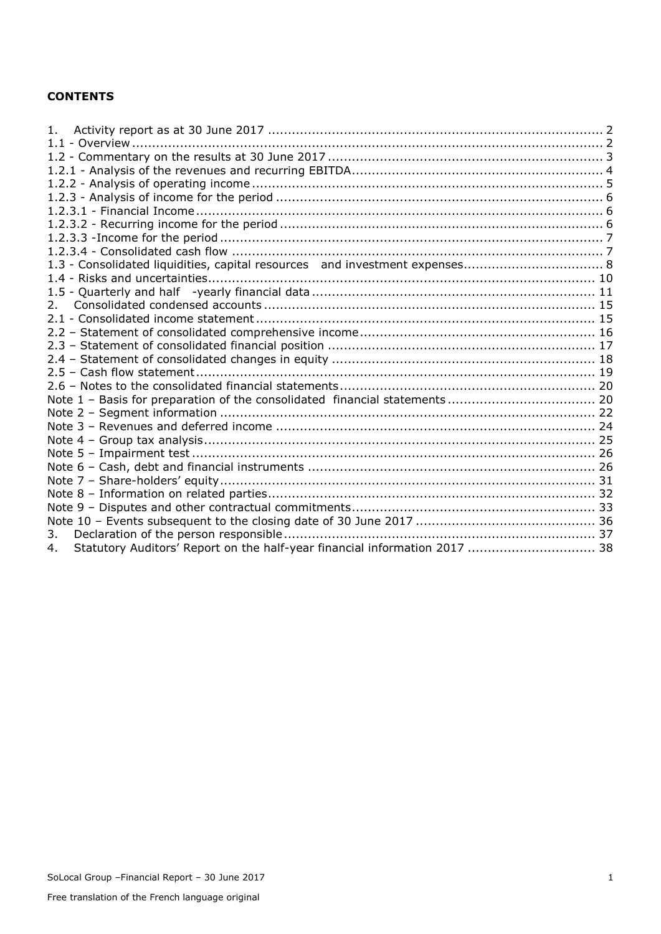#### **CONTENTS**

| 1 <sup>1</sup>                                                                   |  |
|----------------------------------------------------------------------------------|--|
|                                                                                  |  |
|                                                                                  |  |
|                                                                                  |  |
|                                                                                  |  |
|                                                                                  |  |
|                                                                                  |  |
|                                                                                  |  |
|                                                                                  |  |
|                                                                                  |  |
|                                                                                  |  |
|                                                                                  |  |
|                                                                                  |  |
| 2 <sub>1</sub>                                                                   |  |
|                                                                                  |  |
|                                                                                  |  |
|                                                                                  |  |
|                                                                                  |  |
|                                                                                  |  |
|                                                                                  |  |
|                                                                                  |  |
|                                                                                  |  |
|                                                                                  |  |
|                                                                                  |  |
|                                                                                  |  |
|                                                                                  |  |
|                                                                                  |  |
|                                                                                  |  |
|                                                                                  |  |
|                                                                                  |  |
| 3.                                                                               |  |
| Statutory Auditors' Report on the half-year financial information 2017  38<br>4. |  |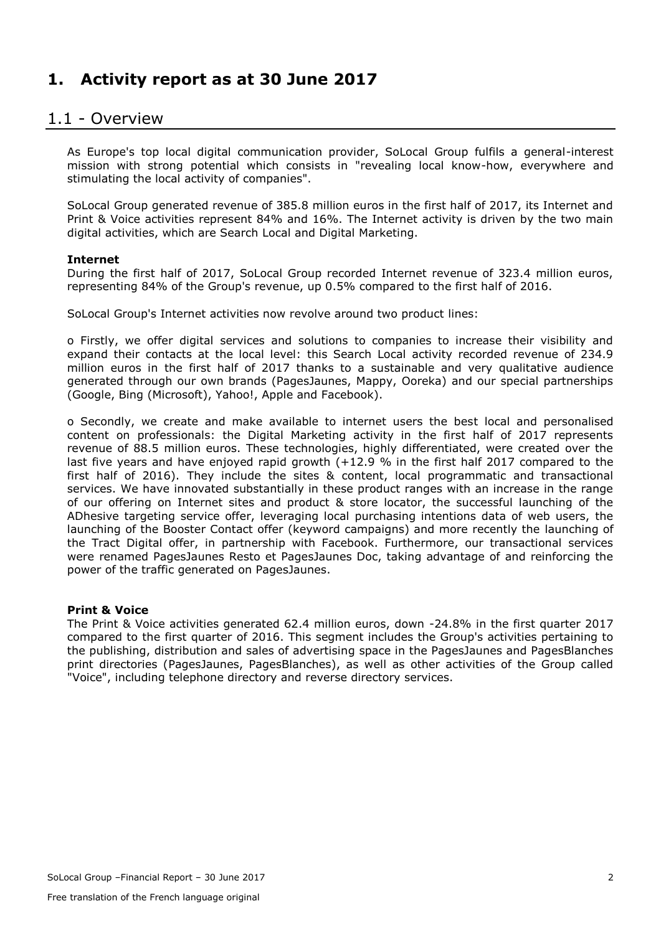# <span id="page-2-0"></span>**1. Activity report as at 30 June 2017**

### <span id="page-2-1"></span>1.1 - Overview

As Europe's top local digital communication provider, SoLocal Group fulfils a general-interest mission with strong potential which consists in "revealing local know-how, everywhere and stimulating the local activity of companies".

SoLocal Group generated revenue of 385.8 million euros in the first half of 2017, its Internet and Print & Voice activities represent 84% and 16%. The Internet activity is driven by the two main digital activities, which are Search Local and Digital Marketing.

#### **Internet**

During the first half of 2017, SoLocal Group recorded Internet revenue of 323.4 million euros, representing 84% of the Group's revenue, up 0.5% compared to the first half of 2016.

SoLocal Group's Internet activities now revolve around two product lines:

o Firstly, we offer digital services and solutions to companies to increase their visibility and expand their contacts at the local level: this Search Local activity recorded revenue of 234.9 million euros in the first half of 2017 thanks to a sustainable and very qualitative audience generated through our own brands (PagesJaunes, Mappy, Ooreka) and our special partnerships (Google, Bing (Microsoft), Yahoo!, Apple and Facebook).

o Secondly, we create and make available to internet users the best local and personalised content on professionals: the Digital Marketing activity in the first half of 2017 represents revenue of 88.5 million euros. These technologies, highly differentiated, were created over the last five years and have enjoyed rapid growth (+12.9 % in the first half 2017 compared to the first half of 2016). They include the sites & content, local programmatic and transactional services. We have innovated substantially in these product ranges with an increase in the range of our offering on Internet sites and product & store locator, the successful launching of the ADhesive targeting service offer, leveraging local purchasing intentions data of web users, the launching of the Booster Contact offer (keyword campaigns) and more recently the launching of the Tract Digital offer, in partnership with Facebook. Furthermore, our transactional services were renamed PagesJaunes Resto et PagesJaunes Doc, taking advantage of and reinforcing the power of the traffic generated on PagesJaunes.

#### **Print & Voice**

The Print & Voice activities generated 62.4 million euros, down -24.8% in the first quarter 2017 compared to the first quarter of 2016. This segment includes the Group's activities pertaining to the publishing, distribution and sales of advertising space in the PagesJaunes and PagesBlanches print directories (PagesJaunes, PagesBlanches), as well as other activities of the Group called "Voice", including telephone directory and reverse directory services.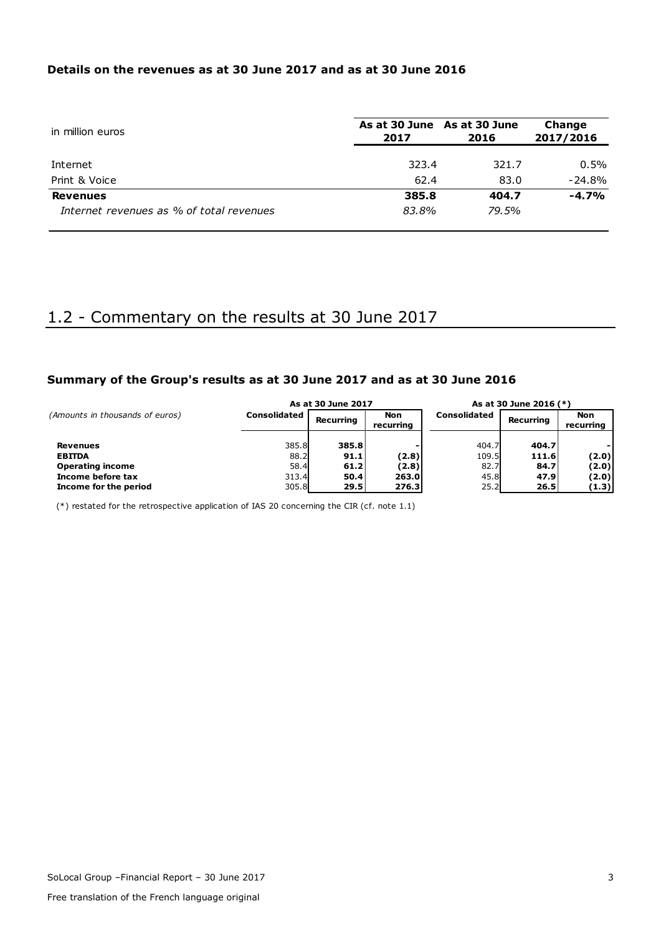#### **Details on the revenues as at 30 June 2017 and as at 30 June 2016**

| in million euros                         | As at 30 June As at 30 June<br>2017 | 2016  | Change<br>2017/2016 |
|------------------------------------------|-------------------------------------|-------|---------------------|
| Internet                                 | 323.4                               | 321.7 | 0.5%                |
| Print & Voice                            | 62.4                                | 83.0  | $-24.8%$            |
| <b>Revenues</b>                          | 385.8                               | 404.7 | $-4.7%$             |
| Internet revenues as % of total revenues | 83.8%                               | 79.5% |                     |

# <span id="page-3-0"></span>1.2 - Commentary on the results at 30 June 2017

#### **Summary of the Group's results as at 30 June 2017 and as at 30 June 2016**

|                                 |                     | As at 30 June 2017 |                         | As at 30 June 2016 (*) |                  |                         |
|---------------------------------|---------------------|--------------------|-------------------------|------------------------|------------------|-------------------------|
| (Amounts in thousands of euros) | <b>Consolidated</b> | Recurring          | <b>Non</b><br>recurring | <b>Consolidated</b>    | <b>Recurring</b> | <b>Non</b><br>recurring |
| <b>Revenues</b>                 | 385.8               | 385.8              |                         | 404.7                  | 404.7            |                         |
| <b>EBITDA</b>                   | 88.2                | 91.1               | (2.8)                   | 109.5                  | 111.6            | (2.0)                   |
| <b>Operating income</b>         | 58.4                | 61.2               | (2.8)                   | 82.7                   | 84.7             | (2.0)                   |
| Income before tax               | 313.4               | 50.4               | 263.0                   | 45.8                   | 47.9             | (2.0)                   |
| Income for the period           | 305.8               | 29.5               | 276.3                   | 25.2                   | 26.5             | (1.3)                   |

 $(*)$  restated for the retrospective application of IAS 20 concerning the CIR (cf. note 1.1)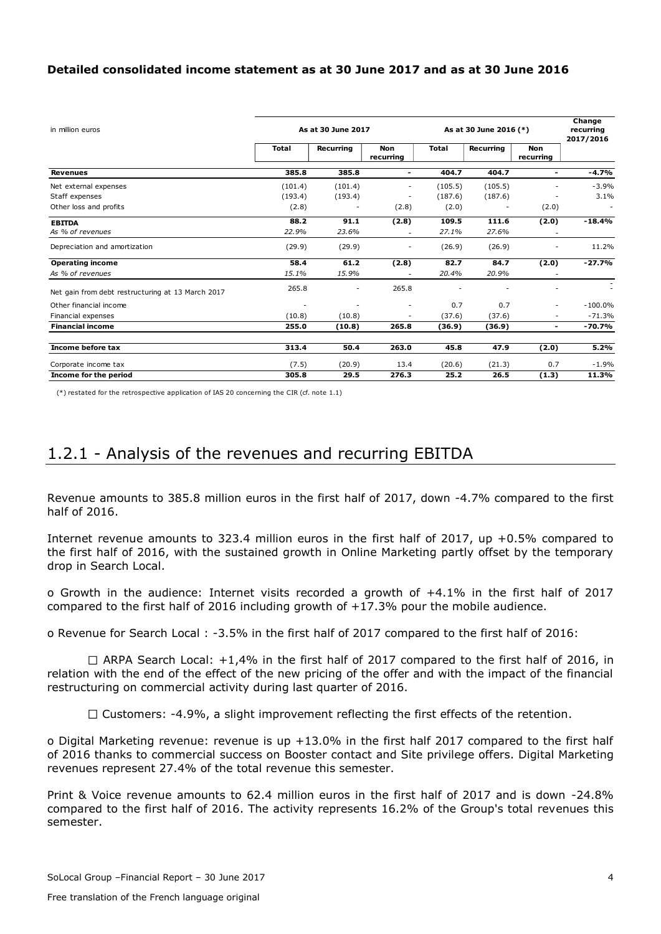#### **Detailed consolidated income statement as at 30 June 2017 and as at 30 June 2016**

| in million euros                                  | As at 30 June 2017 | As at 30 June 2016 (*) | Change<br>recurring<br>2017/2016 |              |           |                         |            |
|---------------------------------------------------|--------------------|------------------------|----------------------------------|--------------|-----------|-------------------------|------------|
|                                                   | <b>Total</b>       | Recurring              | Non<br>recurring                 | <b>Total</b> | Recurring | <b>Non</b><br>recurring |            |
| <b>Revenues</b>                                   | 385.8              | 385.8                  | $\blacksquare$                   | 404.7        | 404.7     | ۰.                      | -4.7%      |
| Net external expenses                             | (101.4)            | (101.4)                | ۰                                | (105.5)      | (105.5)   |                         | $-3.9%$    |
| Staff expenses                                    | (193.4)            | (193.4)                | ٠                                | (187.6)      | (187.6)   |                         | 3.1%       |
| Other loss and profits                            | (2.8)              |                        | (2.8)                            | (2.0)        |           | (2.0)                   |            |
| <b>EBITDA</b>                                     | 88.2               | 91.1                   | (2.8)                            | 109.5        | 111.6     | (2.0)                   | $-18.4%$   |
| As % of revenues                                  | 22.9%              | 23.6%                  |                                  | 27.1%        | 27.6%     |                         |            |
| Depreciation and amortization                     | (29.9)             | (29.9)                 |                                  | (26.9)       | (26.9)    |                         | 11.2%      |
| <b>Operating income</b>                           | 58.4               | 61.2                   | (2.8)                            | 82.7         | 84.7      | (2.0)                   | $-27.7%$   |
| As % of revenues                                  | 15.1%              | 15.9%                  |                                  | 20.4%        | 20.9%     |                         |            |
| Net gain from debt restructuring at 13 March 2017 | 265.8              | ٠                      | 265.8                            |              |           |                         |            |
| Other financial income                            |                    |                        | ٠                                | 0.7          | 0.7       |                         | $-100.0\%$ |
| Financial expenses                                | (10.8)             | (10.8)                 | $\overline{\phantom{a}}$         | (37.6)       | (37.6)    | ٠                       | $-71.3%$   |
| <b>Financial income</b>                           | 255.0              | (10.8)                 | 265.8                            | (36.9)       | (36.9)    | ٠.                      | $-70.7%$   |
| Income before tax                                 | 313.4              | 50.4                   | 263.0                            | 45.8         | 47.9      | (2.0)                   | 5.2%       |
| Corporate income tax                              | (7.5)              | (20.9)                 | 13.4                             | (20.6)       | (21.3)    | 0.7                     | $-1.9%$    |
| Income for the period                             | 305.8              | 29.5                   | 276.3                            | 25.2         | 26.5      | (1.3)                   | 11.3%      |

(\*) restated for the retrospective application of IAS 20 concerning the CIR (cf. note 1.1)

# <span id="page-4-0"></span>1.2.1 - Analysis of the revenues and recurring EBITDA

Revenue amounts to 385.8 million euros in the first half of 2017, down -4.7% compared to the first half of 2016.

Internet revenue amounts to 323.4 million euros in the first half of 2017, up +0.5% compared to the first half of 2016, with the sustained growth in Online Marketing partly offset by the temporary drop in Search Local.

o Growth in the audience: Internet visits recorded a growth of +4.1% in the first half of 2017 compared to the first half of 2016 including growth of  $+17.3\%$  pour the mobile audience.

o Revenue for Search Local : -3.5% in the first half of 2017 compared to the first half of 2016:

 $\Box$  ARPA Search Local: +1,4% in the first half of 2017 compared to the first half of 2016, in relation with the end of the effect of the new pricing of the offer and with the impact of the financial restructuring on commercial activity during last quarter of 2016.

 $\Box$  Customers: -4.9%, a slight improvement reflecting the first effects of the retention.

o Digital Marketing revenue: revenue is up +13.0% in the first half 2017 compared to the first half of 2016 thanks to commercial success on Booster contact and Site privilege offers. Digital Marketing revenues represent 27.4% of the total revenue this semester.

Print & Voice revenue amounts to 62.4 million euros in the first half of 2017 and is down -24.8% compared to the first half of 2016. The activity represents 16.2% of the Group's total revenues this semester.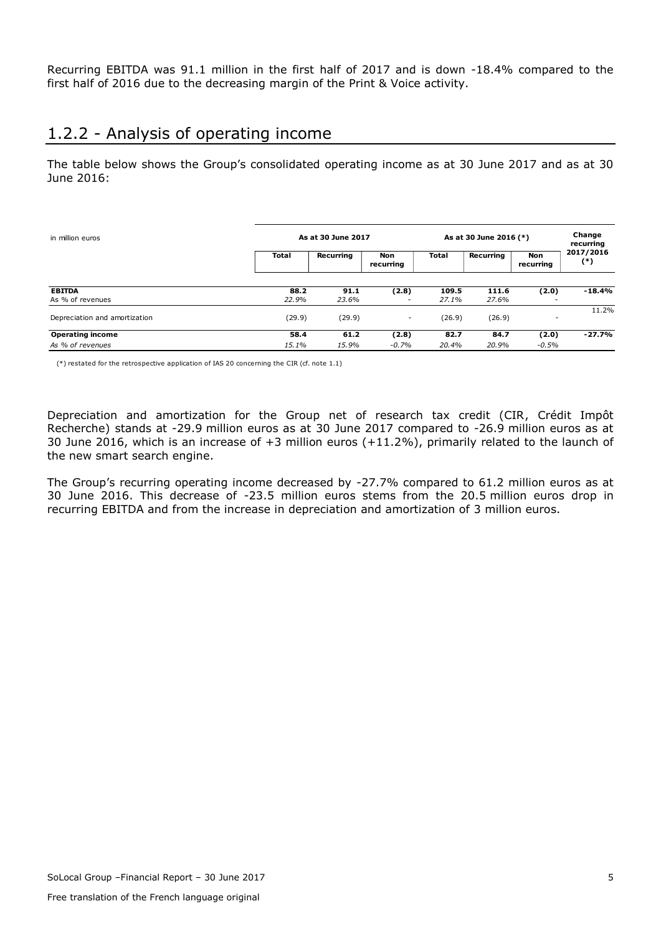Recurring EBITDA was 91.1 million in the first half of 2017 and is down -18.4% compared to the first half of 2016 due to the decreasing margin of the Print & Voice activity.

## <span id="page-5-0"></span>1.2.2 - Analysis of operating income

The table below shows the Group's consolidated operating income as at 30 June 2017 and as at 30 June 2016:

| in million euros                            |               | As at 30 June 2017 |                   |                |                | As at 30 June 2016 (*)  |                    |  |  |
|---------------------------------------------|---------------|--------------------|-------------------|----------------|----------------|-------------------------|--------------------|--|--|
|                                             | <b>Total</b>  | Recurring          | Non<br>recurring  | Total          | Recurring      | <b>Non</b><br>recurring | 2017/2016<br>$(*)$ |  |  |
| <b>EBITDA</b><br>As % of revenues           | 88.2<br>22.9% | 91.1<br>23.6%      | (2.8)<br>-        | 109.5<br>27.1% | 111.6<br>27.6% | (2.0)                   | $-18.4%$           |  |  |
| Depreciation and amortization               | (29.9)        | (29.9)             | ٠                 | (26.9)         | (26.9)         |                         | 11.2%              |  |  |
| <b>Operating income</b><br>As % of revenues | 58.4<br>15.1% | 61.2<br>15.9%      | (2.8)<br>$-0.7\%$ | 82.7<br>20.4%  | 84.7<br>20.9%  | (2.0)<br>$-0.5%$        | $-27.7%$           |  |  |

(\*) restated for the retrospective application of IAS 20 concerning the CIR (cf. note 1.1)

Depreciation and amortization for the Group net of research tax credit (CIR, Crédit Impôt Recherche) stands at -29.9 million euros as at 30 June 2017 compared to -26.9 million euros as at 30 June 2016, which is an increase of +3 million euros (+11.2%), primarily related to the launch of the new smart search engine.

The Group's recurring operating income decreased by -27.7% compared to 61.2 million euros as at 30 June 2016. This decrease of -23.5 million euros stems from the 20.5 million euros drop in recurring EBITDA and from the increase in depreciation and amortization of 3 million euros.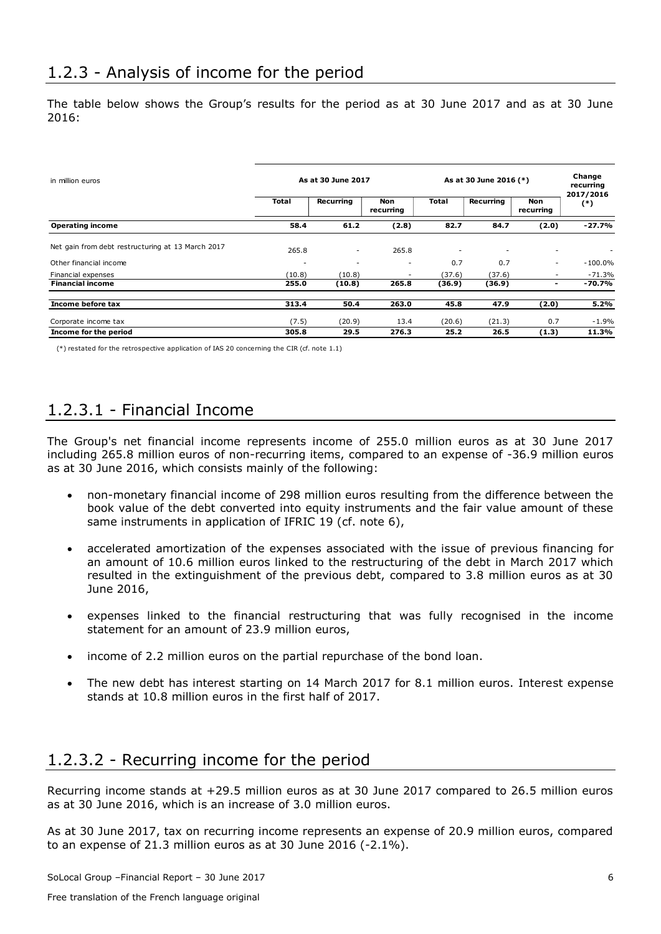<span id="page-6-0"></span>The table below shows the Group's results for the period as at 30 June 2017 and as at 30 June 2016:

| in million euros                                  | As at 30 June 2017 |                          |                          |                          | As at 30 June 2016 (*) |                         |                    |
|---------------------------------------------------|--------------------|--------------------------|--------------------------|--------------------------|------------------------|-------------------------|--------------------|
|                                                   | Total              | Recurring                | Non<br>recurring         | Total                    | Recurring              | <b>Non</b><br>recurring | 2017/2016<br>$(*)$ |
| <b>Operating income</b>                           | 58.4               | 61.2                     | (2.8)                    | 82.7                     | 84.7                   | (2.0)                   | $-27.7%$           |
| Net gain from debt restructuring at 13 March 2017 | 265.8              | $\overline{\phantom{a}}$ | 265.8                    | $\overline{\phantom{a}}$ |                        |                         |                    |
| Other financial income                            |                    | $\overline{\phantom{a}}$ | $\overline{\phantom{a}}$ | 0.7                      | 0.7                    | $\sim$                  | $-100.0\%$         |
| Financial expenses                                | (10.8)             | (10.8)                   |                          | (37.6)                   | (37.6)                 |                         | $-71.3%$           |
| <b>Financial income</b>                           | 255.0              | (10.8)                   | 265.8                    | (36.9)                   | (36.9)                 | -                       | $-70.7%$           |
| Income before tax                                 | 313.4              | 50.4                     | 263.0                    | 45.8                     | 47.9                   | (2.0)                   | 5.2%               |
| Corporate income tax                              | (7.5)              | (20.9)                   | 13.4                     | (20.6)                   | (21.3)                 | 0.7                     | $-1.9%$            |
| Income for the period                             | 305.8              | 29.5                     | 276.3                    | 25.2                     | 26.5                   | (1.3)                   | 11.3%              |

(\*) restated for the retrospective application of IAS 20 concerning the CIR (cf. note 1.1)

# <span id="page-6-1"></span>1.2.3.1 - Financial Income

The Group's net financial income represents income of 255.0 million euros as at 30 June 2017 including 265.8 million euros of non-recurring items, compared to an expense of -36.9 million euros as at 30 June 2016, which consists mainly of the following:

- non-monetary financial income of 298 million euros resulting from the difference between the book value of the debt converted into equity instruments and the fair value amount of these same instruments in application of IFRIC 19 (cf. note 6),
- accelerated amortization of the expenses associated with the issue of previous financing for an amount of 10.6 million euros linked to the restructuring of the debt in March 2017 which resulted in the extinguishment of the previous debt, compared to 3.8 million euros as at 30 June 2016,
- expenses linked to the financial restructuring that was fully recognised in the income statement for an amount of 23.9 million euros,
- income of 2.2 million euros on the partial repurchase of the bond loan.
- The new debt has interest starting on 14 March 2017 for 8.1 million euros. Interest expense stands at 10.8 million euros in the first half of 2017.

# <span id="page-6-2"></span>1.2.3.2 - Recurring income for the period

Recurring income stands at +29.5 million euros as at 30 June 2017 compared to 26.5 million euros as at 30 June 2016, which is an increase of 3.0 million euros.

As at 30 June 2017, tax on recurring income represents an expense of 20.9 million euros, compared to an expense of 21.3 million euros as at 30 June 2016 (-2.1%).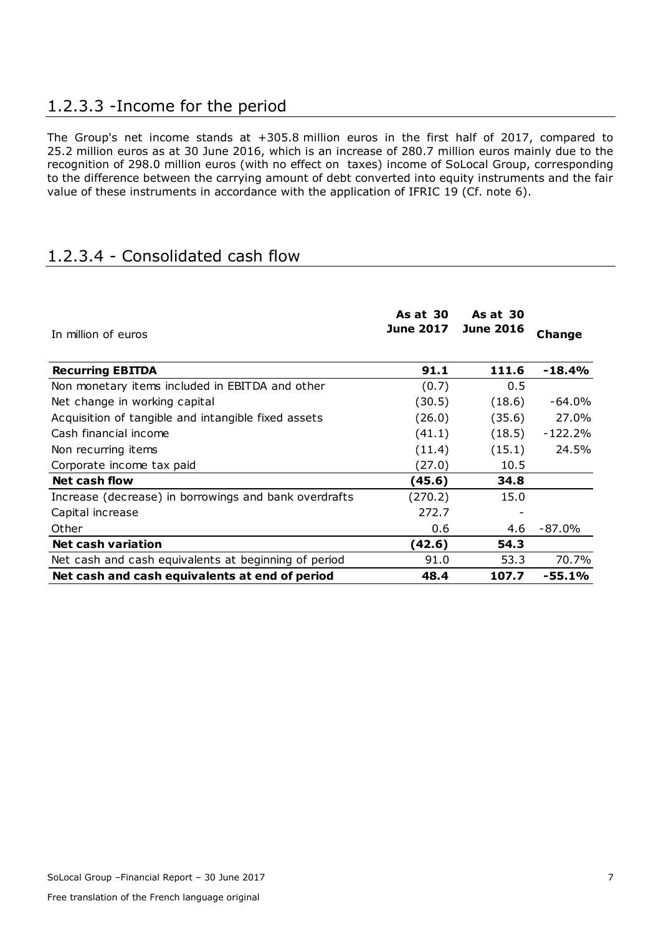# <span id="page-7-0"></span>1.2.3.3 -Income for the period

The Group's net income stands at +305.8 million euros in the first half of 2017, compared to 25.2 million euros as at 30 June 2016, which is an increase of 280.7 million euros mainly due to the recognition of 298.0 million euros (with no effect on taxes) income of SoLocal Group, corresponding to the difference between the carrying amount of debt converted into equity instruments and the fair value of these instruments in accordance with the application of IFRIC 19 (Cf. note 6).

# <span id="page-7-1"></span>1.2.3.4 - Consolidated cash flow

| In million of euros                                   | <b>As at 30</b><br><b>June 2017</b> | <b>As at 30</b><br><b>June 2016</b> | <b>Change</b> |
|-------------------------------------------------------|-------------------------------------|-------------------------------------|---------------|
| <b>Recurring EBITDA</b>                               | 91.1                                | 111.6                               | $-18.4%$      |
| Non monetary items included in EBITDA and other       | (0.7)                               | 0.5                                 |               |
| Net change in working capital                         | (30.5)                              | (18.6)                              | $-64.0%$      |
| Acquisition of tangible and intangible fixed assets   | (26.0)                              | (35.6)                              | 27.0%         |
| Cash financial income                                 | (41.1)                              | (18.5)                              | -122.2%       |
| Non recurring items                                   | (11.4)                              | (15.1)                              | 24.5%         |
| Corporate income tax paid                             | (27.0)                              | 10.5                                |               |
| Net cash flow                                         | (45.6)                              | 34.8                                |               |
| Increase (decrease) in borrowings and bank overdrafts | (270.2)                             | 15.0                                |               |
| Capital increase                                      | 272.7                               |                                     |               |
| Other                                                 | 0.6                                 | 4.6                                 | $-87.0\%$     |
| <b>Net cash variation</b>                             | (42.6)                              | 54.3                                |               |
| Net cash and cash equivalents at beginning of period  | 91.0                                | 53.3                                | 70.7%         |
| Net cash and cash equivalents at end of period        | 48.4                                | 107.7                               | $-55.1%$      |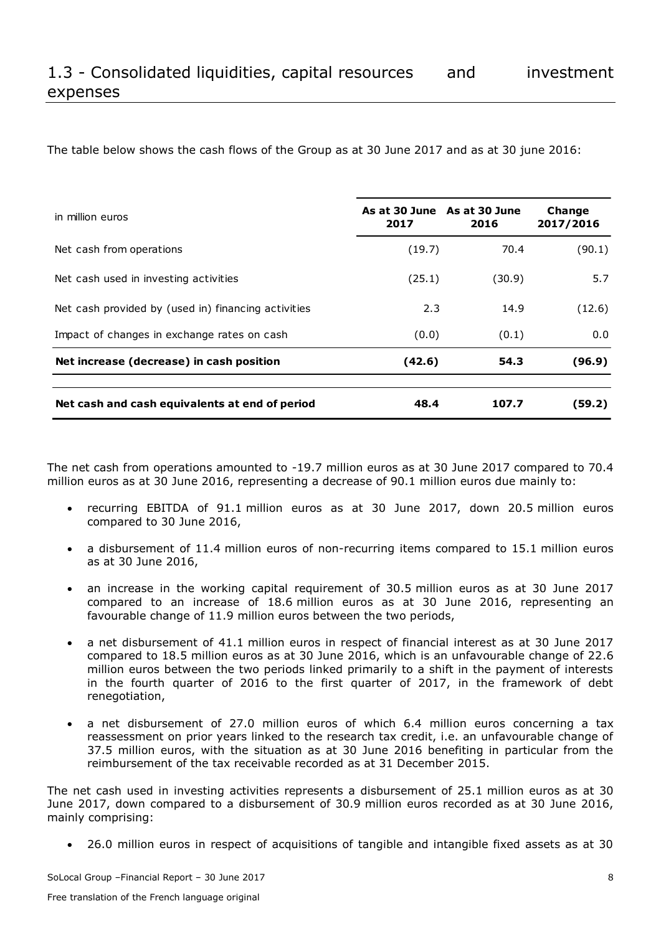<span id="page-8-0"></span>The table below shows the cash flows of the Group as at 30 June 2017 and as at 30 june 2016:

| in million euros                                    | As at 30 June As at 30 June<br>2017 | 2016   | Change<br>2017/2016 |
|-----------------------------------------------------|-------------------------------------|--------|---------------------|
| Net cash from operations                            | (19.7)                              | 70.4   | (90.1)              |
| Net cash used in investing activities               | (25.1)                              | (30.9) | 5.7                 |
| Net cash provided by (used in) financing activities | 2.3                                 | 14.9   | (12.6)              |
| Impact of changes in exchange rates on cash         | (0.0)                               | (0.1)  | 0.0                 |
| Net increase (decrease) in cash position            | (42.6)                              | 54.3   | (96.9)              |
|                                                     |                                     |        |                     |
| Net cash and cash equivalents at end of period      | 48.4                                | 107.7  | (59.2)              |

The net cash from operations amounted to -19.7 million euros as at 30 June 2017 compared to 70.4 million euros as at 30 June 2016, representing a decrease of 90.1 million euros due mainly to:

- recurring EBITDA of 91.1 million euros as at 30 June 2017, down 20.5 million euros compared to 30 June 2016,
- a disbursement of 11.4 million euros of non-recurring items compared to 15.1 million euros as at 30 June 2016,
- an increase in the working capital requirement of 30.5 million euros as at 30 June 2017 compared to an increase of 18.6 million euros as at 30 June 2016, representing an favourable change of 11.9 million euros between the two periods,
- a net disbursement of 41.1 million euros in respect of financial interest as at 30 June 2017 compared to 18.5 million euros as at 30 June 2016, which is an unfavourable change of 22.6 million euros between the two periods linked primarily to a shift in the payment of interests in the fourth quarter of 2016 to the first quarter of 2017, in the framework of debt renegotiation,
- a net disbursement of 27.0 million euros of which 6.4 million euros concerning a tax reassessment on prior years linked to the research tax credit, i.e. an unfavourable change of 37.5 million euros, with the situation as at 30 June 2016 benefiting in particular from the reimbursement of the tax receivable recorded as at 31 December 2015.

The net cash used in investing activities represents a disbursement of 25.1 million euros as at 30 June 2017, down compared to a disbursement of 30.9 million euros recorded as at 30 June 2016, mainly comprising:

26.0 million euros in respect of acquisitions of tangible and intangible fixed assets as at 30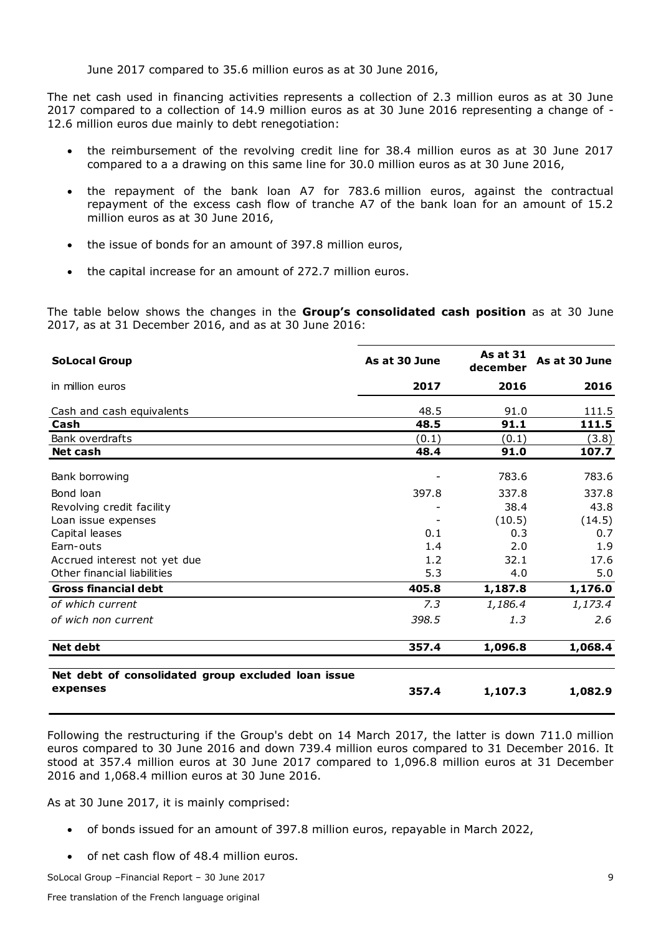June 2017 compared to 35.6 million euros as at 30 June 2016,

The net cash used in financing activities represents a collection of 2.3 million euros as at 30 June 2017 compared to a collection of 14.9 million euros as at 30 June 2016 representing a change of - 12.6 million euros due mainly to debt renegotiation:

- the reimbursement of the revolving credit line for 38.4 million euros as at 30 June 2017 compared to a a drawing on this same line for 30.0 million euros as at 30 June 2016,
- the repayment of the bank loan A7 for 783.6 million euros, against the contractual repayment of the excess cash flow of tranche A7 of the bank loan for an amount of 15.2 million euros as at 30 June 2016,
- the issue of bonds for an amount of 397.8 million euros,
- the capital increase for an amount of 272.7 million euros.

The table below shows the changes in the **Group's consolidated cash position** as at 30 June 2017, as at 31 December 2016, and as at 30 June 2016:

| <b>SoLocal Group</b>                                                                                                                                                                                                                                                                                                                                                                                                                                                                                                                            | As at 30 June | <b>As at 31</b><br>december | As at 30 June |
|-------------------------------------------------------------------------------------------------------------------------------------------------------------------------------------------------------------------------------------------------------------------------------------------------------------------------------------------------------------------------------------------------------------------------------------------------------------------------------------------------------------------------------------------------|---------------|-----------------------------|---------------|
| in million euros                                                                                                                                                                                                                                                                                                                                                                                                                                                                                                                                | 2017          | 2016                        | 2016          |
| Cash and cash equivalents                                                                                                                                                                                                                                                                                                                                                                                                                                                                                                                       | 48.5          | 91.0                        | 111.5         |
| Cash                                                                                                                                                                                                                                                                                                                                                                                                                                                                                                                                            | 48.5          | 91.1                        | 111.5         |
| Bank overdrafts                                                                                                                                                                                                                                                                                                                                                                                                                                                                                                                                 | (0.1)         | (0.1)                       | (3.8)         |
| <b>Net cash</b>                                                                                                                                                                                                                                                                                                                                                                                                                                                                                                                                 | 48.4          | 91.0                        | 107.7         |
| Bank borrowing                                                                                                                                                                                                                                                                                                                                                                                                                                                                                                                                  |               | 783.6                       | 783.6         |
| Bond loan                                                                                                                                                                                                                                                                                                                                                                                                                                                                                                                                       | 397.8         | 337.8                       | 337.8         |
| Revolving credit facility                                                                                                                                                                                                                                                                                                                                                                                                                                                                                                                       |               | 38.4                        | 43.8          |
| Loan issue expenses                                                                                                                                                                                                                                                                                                                                                                                                                                                                                                                             |               | (10.5)                      | (14.5)        |
| Capital leases                                                                                                                                                                                                                                                                                                                                                                                                                                                                                                                                  | 0.1           | 0.3                         | 0.7           |
| Earn-outs                                                                                                                                                                                                                                                                                                                                                                                                                                                                                                                                       | 1.4           | 2.0                         | 1.9           |
| Accrued interest not yet due                                                                                                                                                                                                                                                                                                                                                                                                                                                                                                                    | 1.2           | 32.1                        | 17.6          |
| Other financial liabilities                                                                                                                                                                                                                                                                                                                                                                                                                                                                                                                     | 5.3           | 4.0                         | 5.0           |
| <b>Gross financial debt</b>                                                                                                                                                                                                                                                                                                                                                                                                                                                                                                                     | 405.8         | 1,187.8                     | 1,176.0       |
| of which current                                                                                                                                                                                                                                                                                                                                                                                                                                                                                                                                | 7.3           | 1,186.4                     | 1,173.4       |
| of wich non current                                                                                                                                                                                                                                                                                                                                                                                                                                                                                                                             | 398.5         | 1.3                         | 2.6           |
| <b>Net debt</b>                                                                                                                                                                                                                                                                                                                                                                                                                                                                                                                                 | 357.4         | 1,096.8                     | 1,068.4       |
| Net debt of consolidated group excluded loan issue                                                                                                                                                                                                                                                                                                                                                                                                                                                                                              |               |                             |               |
| expenses                                                                                                                                                                                                                                                                                                                                                                                                                                                                                                                                        | 357.4         | 1,107.3                     | 1,082.9       |
| Following the restructuring if the Group's debt on 14 March 2017, the latter is down 711.0 million<br>euros compared to 30 June 2016 and down 739.4 million euros compared to 31 December 2016. It<br>stood at 357.4 million euros at 30 June 2017 compared to 1,096.8 million euros at 31 December<br>2016 and 1,068.4 million euros at 30 June 2016.<br>As at 30 June 2017, it is mainly comprised:<br>of bonds issued for an amount of 397.8 million euros, repayable in March 2022,<br>$\bullet$<br>of net cash flow of 48.4 million euros. |               |                             |               |

- of bonds issued for an amount of 397.8 million euros, repayable in March 2022,
-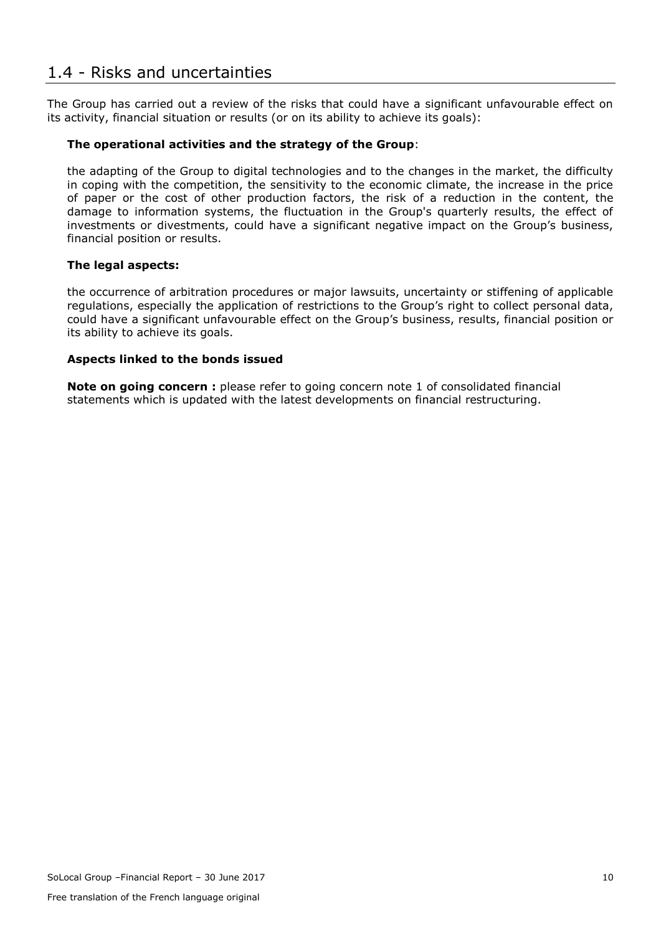## <span id="page-10-0"></span>1.4 - Risks and uncertainties

The Group has carried out a review of the risks that could have a significant unfavourable effect on its activity, financial situation or results (or on its ability to achieve its goals):

#### **The operational activities and the strategy of the Group**:

the adapting of the Group to digital technologies and to the changes in the market, the difficulty in coping with the competition, the sensitivity to the economic climate, the increase in the price of paper or the cost of other production factors, the risk of a reduction in the content, the damage to information systems, the fluctuation in the Group's quarterly results, the effect of investments or divestments, could have a significant negative impact on the Group's business, financial position or results.

#### **The legal aspects:**

the occurrence of arbitration procedures or major lawsuits, uncertainty or stiffening of applicable regulations, especially the application of restrictions to the Group's right to collect personal data, could have a significant unfavourable effect on the Group's business, results, financial position or its ability to achieve its goals.

#### **Aspects linked to the bonds issued**

**Note on going concern** : please refer to going concern note 1 of consolidated financial statements which is updated with the latest developments on financial restructuring.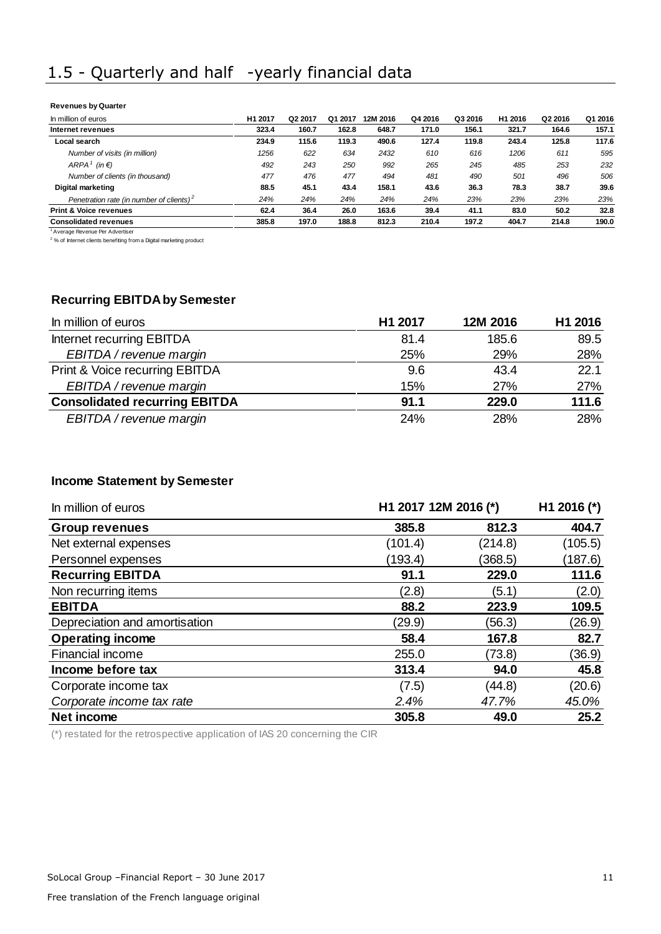# <span id="page-11-0"></span>1.5 - Quarterly and half -yearly financial data

#### **Revenues by Quarter**

| In million of euros                                  | H <sub>1</sub> 2017 | Q2 2017 | Q1 2017 | 12M 2016 | Q4 2016 | Q3 2016 | H1 2016 | Q2 2016 | Q1 2016 |
|------------------------------------------------------|---------------------|---------|---------|----------|---------|---------|---------|---------|---------|
| Internet revenues                                    | 323.4               | 160.7   | 162.8   | 648.7    | 171.0   | 156.1   | 321.7   | 164.6   | 157.1   |
| Local search                                         | 234.9               | 115.6   | 119.3   | 490.6    | 127.4   | 119.8   | 243.4   | 125.8   | 117.6   |
| Number of visits (in million)                        | 1256                | 622     | 634     | 2432     | 610     | 616     | 1206    | 611     | 595     |
| ARPA <sup>1</sup> (in $\epsilon$ )                   | 492                 | 243     | 250     | 992      | 265     | 245     | 485     | 253     | 232     |
| Number of clients (in thousand)                      | 477                 | 476     | 477     | 494      | 481     | 490     | 501     | 496     | 506     |
| Digital marketing                                    | 88.5                | 45.1    | 43.4    | 158.1    | 43.6    | 36.3    | 78.3    | 38.7    | 39.6    |
| Penetration rate (in number of clients) <sup>2</sup> | 24%                 | 24%     | 24%     | 24%      | 24%     | 23%     | 23%     | 23%     | 23%     |
| <b>Print &amp; Voice revenues</b>                    | 62.4                | 36.4    | 26.0    | 163.6    | 39.4    | 41.1    | 83.0    | 50.2    | 32.8    |
| <b>Consolidated revenues</b>                         | 385.8               | 197.0   | 188.8   | 812.3    | 210.4   | 197.2   | 404.7   | 214.8   | 190.0   |

<sup>1</sup> Average Revenue Per Advertiser<br><sup>2</sup> % of Internet clients benefiting from a Digital marketing product

### **Recurring EBITDA by Semester**

| In million of euros                  | H1 2017 | 12M 2016 | H1 2016 |
|--------------------------------------|---------|----------|---------|
| Internet recurring EBITDA            | 81.4    | 185.6    | 89.5    |
| EBITDA / revenue margin              | 25%     | 29%      | 28%     |
| Print & Voice recurring EBITDA       | 9.6     | 43.4     | 22.1    |
| EBITDA / revenue margin              | 15%     | 27%      | 27%     |
| <b>Consolidated recurring EBITDA</b> | 91.1    | 229.0    | 111.6   |
| EBITDA / revenue margin              | 24%     | 28%      | 28%     |

#### **Income Statement by Semester**

| In million of euros           |         | H1 2017 12M 2016 (*) |         |  |
|-------------------------------|---------|----------------------|---------|--|
| <b>Group revenues</b>         | 385.8   | 812.3                | 404.7   |  |
| Net external expenses         | (101.4) | (214.8)              | (105.5) |  |
| Personnel expenses            | (193.4) | (368.5)              | (187.6) |  |
| <b>Recurring EBITDA</b>       | 91.1    | 229.0                | 111.6   |  |
| Non recurring items           | (2.8)   | (5.1)                | (2.0)   |  |
| <b>EBITDA</b>                 | 88.2    | 223.9                | 109.5   |  |
| Depreciation and amortisation | (29.9)  | (56.3)               | (26.9)  |  |
| <b>Operating income</b>       | 58.4    | 167.8                | 82.7    |  |
| Financial income              | 255.0   | (73.8)               | (36.9)  |  |
| Income before tax             | 313.4   | 94.0                 | 45.8    |  |
| Corporate income tax          | (7.5)   | (44.8)               | (20.6)  |  |
| Corporate income tax rate     | 2.4%    | 47.7%                | 45.0%   |  |
| Net income                    | 305.8   | 49.0                 | 25.2    |  |

(\*) restated for the retrospective application of IAS 20 concerning the CIR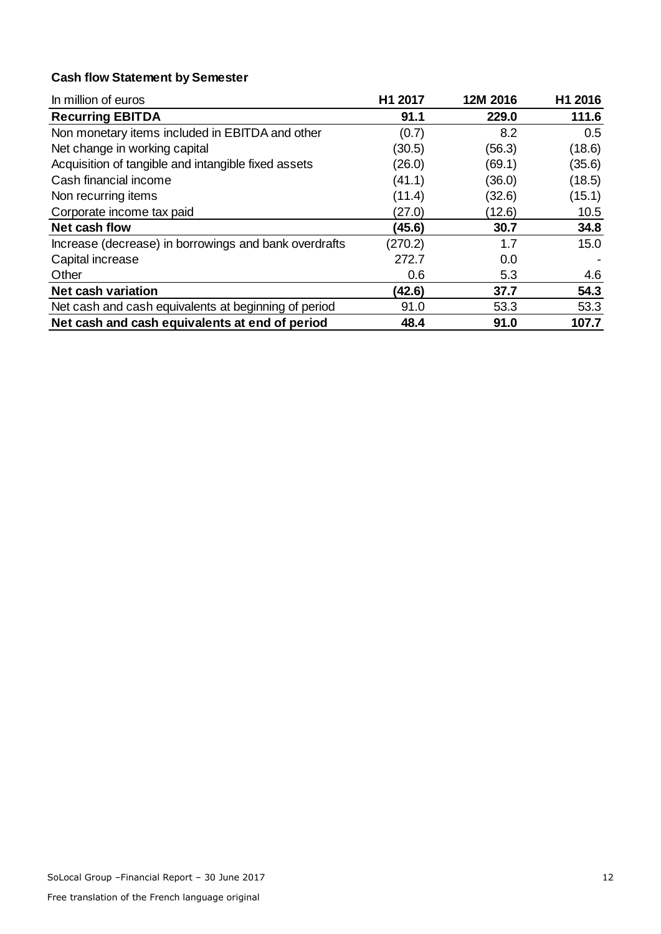## **Cash flow Statement by Semester**

| In million of euros                                   | H1 2017 | 12M 2016 | H1 2016 |
|-------------------------------------------------------|---------|----------|---------|
| <b>Recurring EBITDA</b>                               | 91.1    | 229.0    | 111.6   |
| Non monetary items included in EBITDA and other       | (0.7)   | 8.2      | 0.5     |
| Net change in working capital                         | (30.5)  | (56.3)   | (18.6)  |
| Acquisition of tangible and intangible fixed assets   | (26.0)  | (69.1)   | (35.6)  |
| Cash financial income                                 | (41.1)  | (36.0)   | (18.5)  |
| Non recurring items                                   | (11.4)  | (32.6)   | (15.1)  |
| Corporate income tax paid                             | (27.0)  | (12.6)   | 10.5    |
| Net cash flow                                         | (45.6)  | 30.7     | 34.8    |
| Increase (decrease) in borrowings and bank overdrafts | (270.2) | 1.7      | 15.0    |
| Capital increase                                      | 272.7   | 0.0      |         |
| Other                                                 | 0.6     | 5.3      | 4.6     |
| <b>Net cash variation</b>                             | (42.6)  | 37.7     | 54.3    |
| Net cash and cash equivalents at beginning of period  | 91.0    | 53.3     | 53.3    |
| Net cash and cash equivalents at end of period        | 48.4    | 91.0     | 107.7   |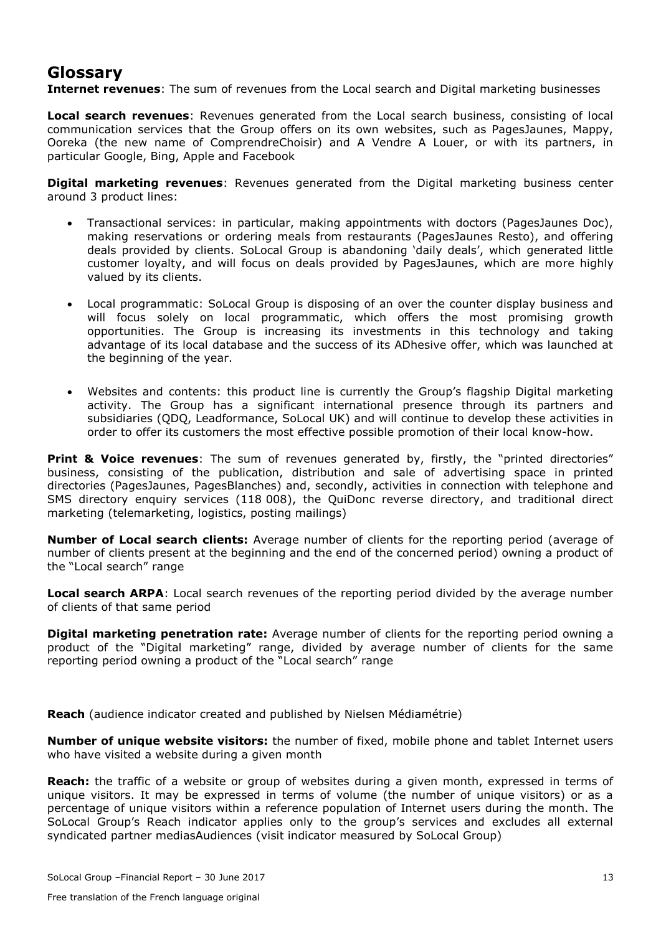# **Glossary**

**Internet revenues**: The sum of revenues from the Local search and Digital marketing businesses

**Local search revenues**: Revenues generated from the Local search business, consisting of local communication services that the Group offers on its own websites, such as PagesJaunes, Mappy, Ooreka (the new name of ComprendreChoisir) and A Vendre A Louer, or with its partners, in particular Google, Bing, Apple and Facebook

**Digital marketing revenues**: Revenues generated from the Digital marketing business center around 3 product lines:

- Transactional services: in particular, making appointments with doctors (PagesJaunes Doc), making reservations or ordering meals from restaurants (PagesJaunes Resto), and offering deals provided by clients. SoLocal Group is abandoning 'daily deals', which generated little customer loyalty, and will focus on deals provided by PagesJaunes, which are more highly valued by its clients.
- Local programmatic: SoLocal Group is disposing of an over the counter display business and will focus solely on local programmatic, which offers the most promising growth opportunities. The Group is increasing its investments in this technology and taking advantage of its local database and the success of its ADhesive offer, which was launched at the beginning of the year.
- Websites and contents: this product line is currently the Group's flagship Digital marketing activity. The Group has a significant international presence through its partners and subsidiaries (QDQ, Leadformance, SoLocal UK) and will continue to develop these activities in order to offer its customers the most effective possible promotion of their local know-how.

**Print & Voice revenues**: The sum of revenues generated by, firstly, the "printed directories" business, consisting of the publication, distribution and sale of advertising space in printed directories (PagesJaunes, PagesBlanches) and, secondly, activities in connection with telephone and SMS directory enquiry services (118 008), the QuiDonc reverse directory, and traditional direct marketing (telemarketing, logistics, posting mailings)

**Number of Local search clients:** Average number of clients for the reporting period (average of number of clients present at the beginning and the end of the concerned period) owning a product of the "Local search" range

**Local search ARPA**: Local search revenues of the reporting period divided by the average number of clients of that same period

**Digital marketing penetration rate:** Average number of clients for the reporting period owning a product of the "Digital marketing" range, divided by average number of clients for the same reporting period owning a product of the "Local search" range

**Reach** (audience indicator created and published by Nielsen Médiamétrie)

**Number of unique website visitors:** the number of fixed, mobile phone and tablet Internet users who have visited a website during a given month

**Reach:** the traffic of a website or group of websites during a given month, expressed in terms of unique visitors. It may be expressed in terms of volume (the number of unique visitors) or as a percentage of unique visitors within a reference population of Internet users during the month. The SoLocal Group's Reach indicator applies only to the group's services and excludes all external syndicated partner mediasAudiences (visit indicator measured by SoLocal Group)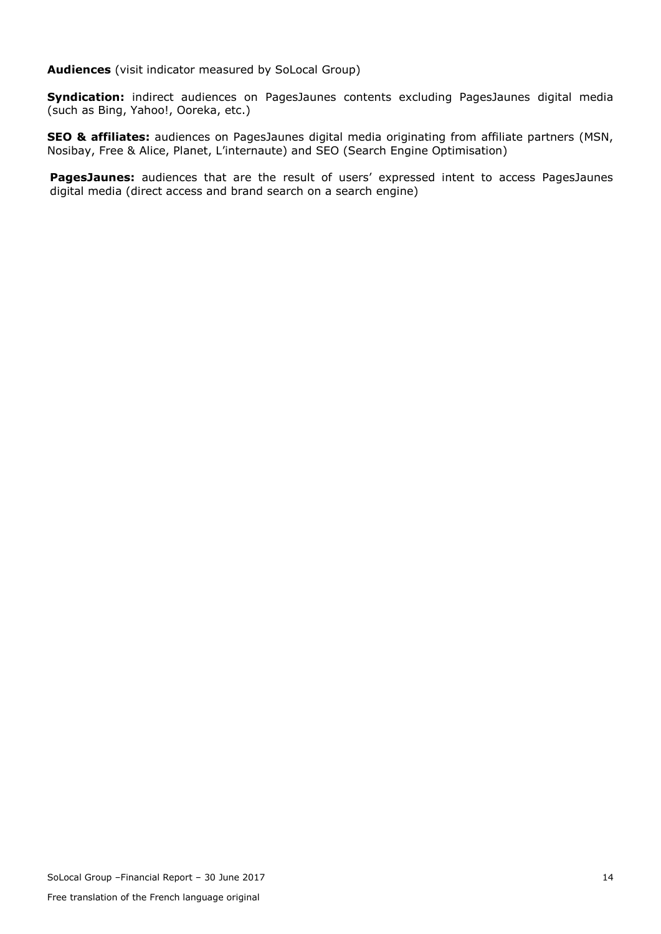**Audiences** (visit indicator measured by SoLocal Group)

**Syndication:** indirect audiences on PagesJaunes contents excluding PagesJaunes digital media (such as Bing, Yahoo!, Ooreka, etc.)

**SEO & affiliates:** audiences on PagesJaunes digital media originating from affiliate partners (MSN, Nosibay, Free & Alice, Planet, L'internaute) and SEO (Search Engine Optimisation)

PagesJaunes: audiences that are the result of users' expressed intent to access PagesJaunes digital media (direct access and brand search on a search engine)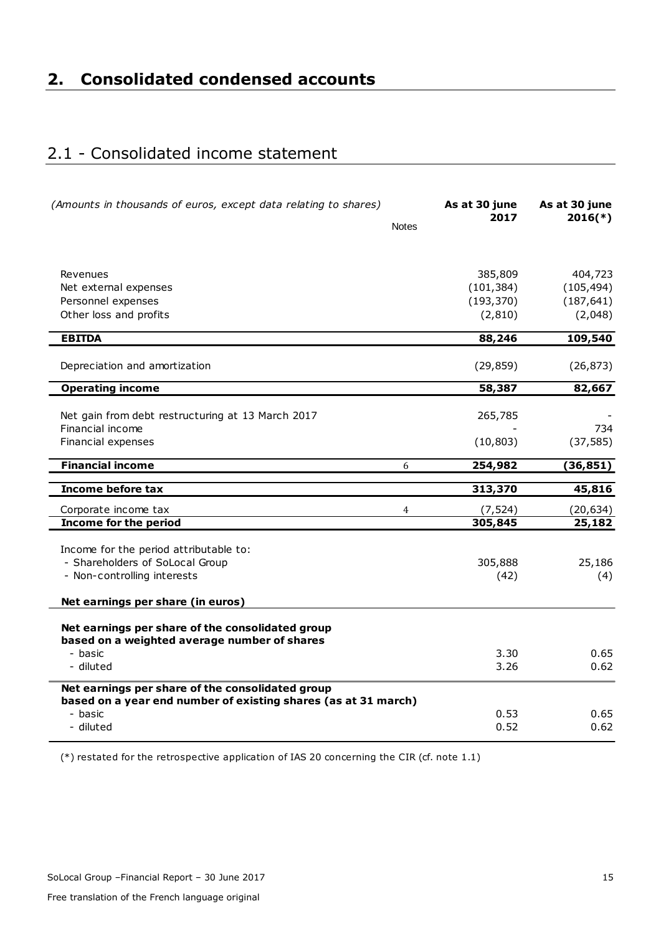# <span id="page-15-1"></span><span id="page-15-0"></span>2.1 - Consolidated income statement

| (Amounts in thousands of euros, except data relating to shares) | <b>Notes</b> | As at 30 june<br>2017 | As at 30 june<br>$2016(*)$ |
|-----------------------------------------------------------------|--------------|-----------------------|----------------------------|
|                                                                 |              |                       |                            |
| Revenues                                                        |              | 385,809               | 404,723                    |
| Net external expenses                                           |              | (101, 384)            | (105, 494)                 |
| Personnel expenses                                              |              | (193, 370)            | (187, 641)                 |
| Other loss and profits                                          |              | (2, 810)              | (2,048)                    |
| <b>EBITDA</b>                                                   |              | 88,246                | 109,540                    |
|                                                                 |              |                       |                            |
| Depreciation and amortization                                   |              | (29, 859)             | (26, 873)                  |
| <b>Operating income</b>                                         |              | 58,387                | 82,667                     |
|                                                                 |              |                       |                            |
| Net gain from debt restructuring at 13 March 2017               |              | 265,785               |                            |
| Financial income                                                |              |                       | 734                        |
| Financial expenses                                              |              | (10, 803)             | (37, 585)                  |
| <b>Financial income</b>                                         | 6            | 254,982               | (36, 851)                  |
| Income before tax                                               |              | 313,370               | 45,816                     |
| Corporate income tax                                            | 4            | (7, 524)              | (20, 634)                  |
| <b>Income for the period</b>                                    |              | 305,845               | 25,182                     |
| Income for the period attributable to:                          |              |                       |                            |
| - Shareholders of SoLocal Group                                 |              | 305,888               | 25,186                     |
| - Non-controlling interests                                     |              | (42)                  | (4)                        |
|                                                                 |              |                       |                            |
| Net earnings per share (in euros)                               |              |                       |                            |
|                                                                 |              |                       |                            |
| Net earnings per share of the consolidated group                |              |                       |                            |
| based on a weighted average number of shares                    |              |                       |                            |
| - basic                                                         |              | 3.30<br>3.26          | 0.65                       |
| - diluted                                                       |              |                       | 0.62                       |
| Net earnings per share of the consolidated group                |              |                       |                            |
| based on a year end number of existing shares (as at 31 march)  |              |                       |                            |
| - basic                                                         |              | 0.53                  | 0.65                       |
| - diluted                                                       |              | 0.52                  | 0.62                       |

(\*) restated for the retrospective application of IAS 20 concerning the CIR (cf. note 1.1)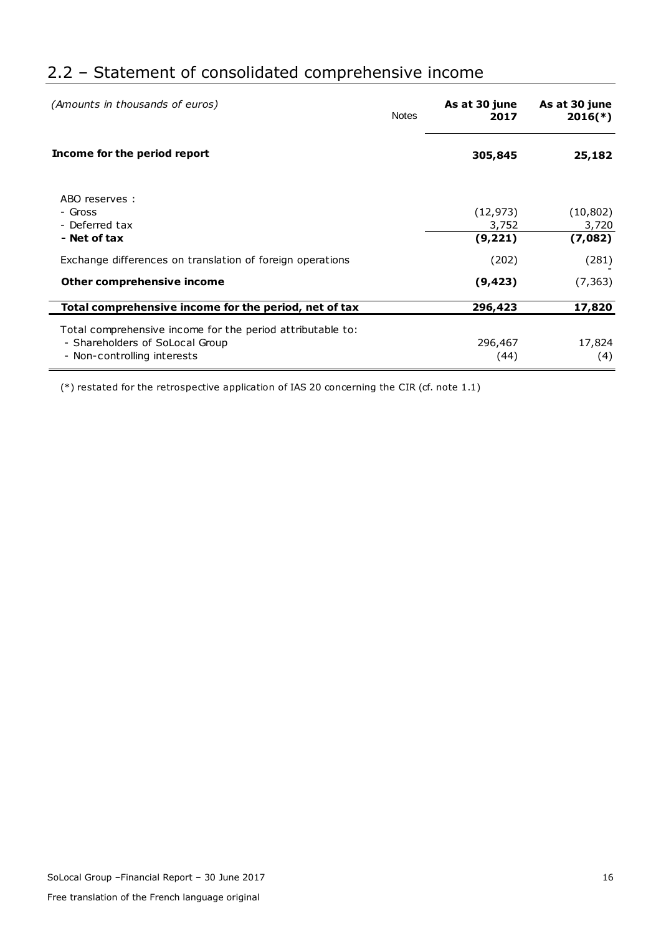# <span id="page-16-0"></span>2.2 – Statement of consolidated comprehensive income

| (Amounts in thousands of euros)                            | <b>Notes</b> | As at 30 june<br>2017 | As at 30 june<br>$2016(*)$ |
|------------------------------------------------------------|--------------|-----------------------|----------------------------|
| Income for the period report                               |              | 305,845               | 25,182                     |
| ABO reserves:                                              |              |                       |                            |
| - Gross                                                    |              | (12, 973)             | (10, 802)                  |
| - Deferred tax                                             |              | 3,752                 | 3,720                      |
| - Net of tax                                               |              | (9, 221)              | (7,082)                    |
| Exchange differences on translation of foreign operations  |              | (202)                 | (281)                      |
| Other comprehensive income                                 |              | (9, 423)              | (7, 363)                   |
| Total comprehensive income for the period, net of tax      |              | 296,423               | 17,820                     |
| Total comprehensive income for the period attributable to: |              |                       |                            |
| - Shareholders of SoLocal Group                            |              | 296,467               | 17,824                     |
| - Non-controlling interests                                |              | (44)                  | (4)                        |

(\*) restated for the retrospective application of IAS 20 concerning the CIR (cf. note 1.1)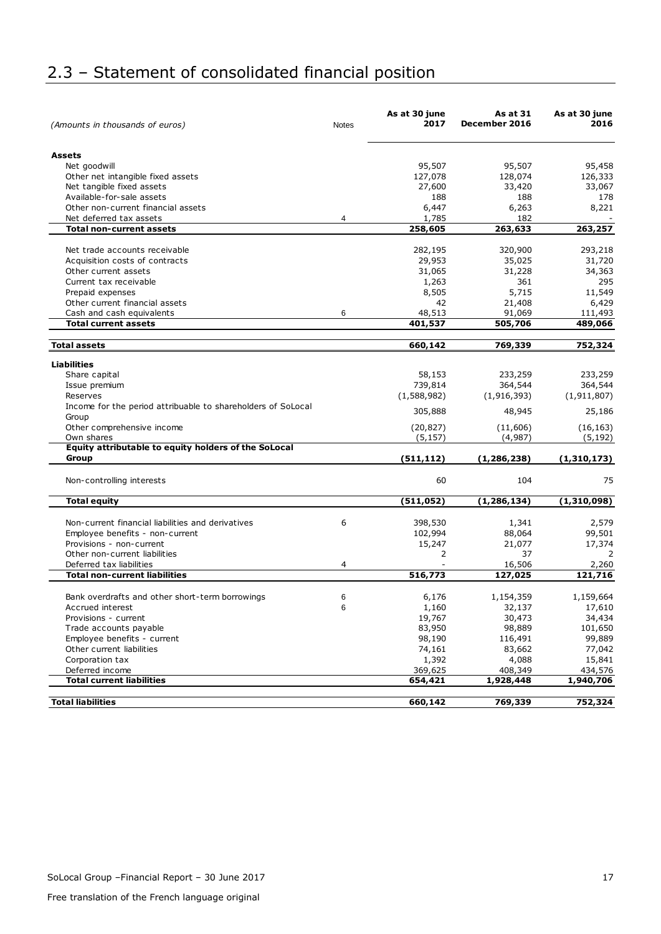# <span id="page-17-0"></span>2.3 – Statement of consolidated financial position

| (Amounts in thousands of euros)                              | Notes | As at 30 june<br>2017 | As at 31<br>December 2016 | As at 30 june<br>2016 |
|--------------------------------------------------------------|-------|-----------------------|---------------------------|-----------------------|
| <b>Assets</b>                                                |       |                       |                           |                       |
| Net goodwill                                                 |       | 95,507                | 95,507                    | 95,458                |
| Other net intangible fixed assets                            |       | 127,078               | 128,074                   | 126,333               |
| Net tangible fixed assets                                    |       | 27,600                | 33,420                    | 33,067                |
| Available-for-sale assets                                    |       | 188                   | 188                       | 178                   |
| Other non-current financial assets                           |       | 6,447                 | 6,263                     | 8,221                 |
| Net deferred tax assets                                      | 4     | 1,785                 | 182                       |                       |
| <b>Total non-current assets</b>                              |       | 258,605               | 263,633                   | 263,257               |
|                                                              |       |                       |                           |                       |
| Net trade accounts receivable                                |       | 282,195               | 320,900                   | 293,218               |
| Acquisition costs of contracts                               |       | 29,953                | 35,025                    | 31,720                |
| Other current assets                                         |       | 31,065                | 31,228                    | 34,363                |
| Current tax receivable                                       |       | 1,263                 | 361                       | 295                   |
| Prepaid expenses                                             |       | 8,505                 | 5,715                     | 11,549                |
| Other current financial assets                               |       | 42                    | 21,408                    | 6,429                 |
| Cash and cash equivalents                                    | 6     | 48,513                | 91,069                    | 111,493               |
| <b>Total current assets</b>                                  |       | 401,537               | 505,706                   | 489,066               |
| <b>Total assets</b>                                          |       | 660,142               | 769,339                   | 752,324               |
| <b>Liabilities</b>                                           |       |                       |                           |                       |
| Share capital                                                |       | 58,153                | 233,259                   | 233,259               |
|                                                              |       | 739,814               | 364,544                   | 364,544               |
| Issue premium<br>Reserves                                    |       | (1,588,982)           | (1, 916, 393)             | (1, 911, 807)         |
| Income for the period attribuable to shareholders of SoLocal |       |                       |                           |                       |
| Group                                                        |       | 305,888               | 48,945                    | 25,186                |
| Other comprehensive income                                   |       | (20, 827)             | (11,606)                  | (16, 163)             |
| Own shares                                                   |       | (5, 157)              | (4,987)                   | (5, 192)              |
| Equity attributable to equity holders of the SoLocal         |       |                       |                           |                       |
| Group                                                        |       | (511, 112)            | (1, 286, 238)             | (1,310,173)           |
| Non-controlling interests                                    |       | 60                    | 104                       | 75                    |
| <b>Total equity</b>                                          |       | (511, 052)            | (1, 286, 134)             | (1,310,098)           |
|                                                              |       |                       |                           |                       |
| Non-current financial liabilities and derivatives            | 6     | 398,530               | 1,341                     | 2,579                 |
| Employee benefits - non-current                              |       | 102,994               | 88,064                    | 99,501                |
| Provisions - non-current                                     |       | 15,247                | 21,077                    | 17,374                |
| Other non-current liabilities                                |       | 2                     | 37                        | 2                     |
| Deferred tax liabilities                                     | 4     |                       | 16,506                    | 2,260                 |
| <b>Total non-current liabilities</b>                         |       | 516,773               | 127,025                   | 121,716               |
| Bank overdrafts and other short-term borrowings              | 6     | 6,176                 | 1,154,359                 | 1,159,664             |
| Accrued interest                                             | 6     | 1,160                 | 32,137                    | 17,610                |
| Provisions - current                                         |       | 19,767                | 30,473                    | 34,434                |
| Trade accounts payable                                       |       | 83,950                | 98,889                    | 101,650               |
| Employee benefits - current                                  |       | 98,190                | 116,491                   | 99,889                |
| Other current liabilities                                    |       | 74,161                | 83,662                    | 77,042                |
| Corporation tax                                              |       | 1,392                 | 4,088                     | 15,841                |
| Deferred income                                              |       | 369,625               | 408,349                   | 434,576               |
| <b>Total current liabilities</b>                             |       | 654,421               | 1,928,448                 | 1,940,706             |
|                                                              |       |                       |                           |                       |
| <b>Total liabilities</b>                                     |       | 660,142               | 769,339                   | 752,324               |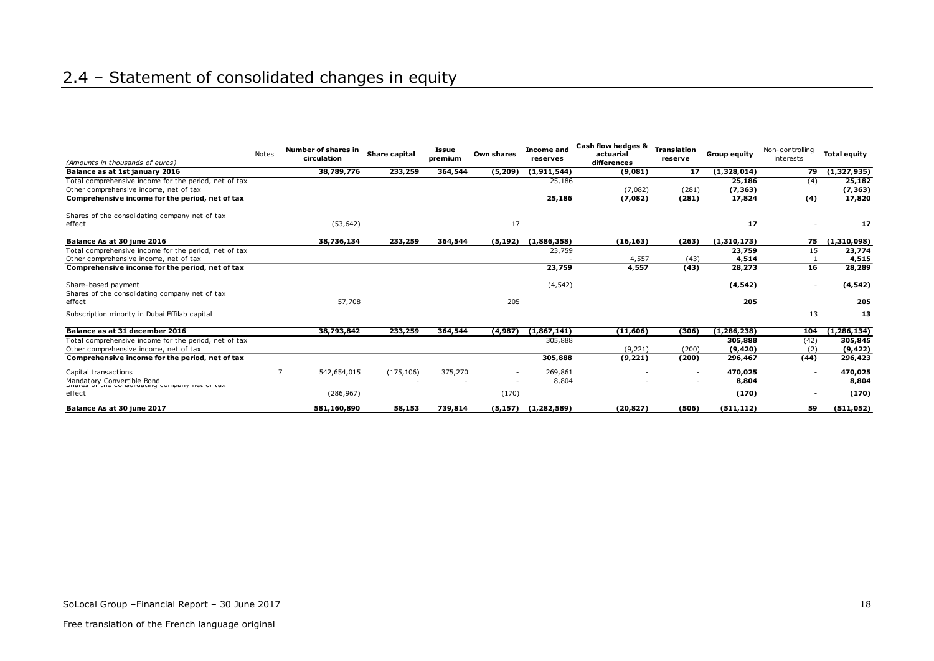# 2.4 – Statement of consolidated changes in equity

<span id="page-18-0"></span>

| (Amounts in thousands of euros)                                              | Notes | Number of shares in<br>circulation | Share capital | Issue<br>premium | Own shares | <b>Income and</b><br>reserves | Cash flow hedges &<br>actuarial<br>differences | <b>Translation</b><br>reserve | <b>Group equity</b> | Non-controlling<br>interests | <b>Total equity</b> |
|------------------------------------------------------------------------------|-------|------------------------------------|---------------|------------------|------------|-------------------------------|------------------------------------------------|-------------------------------|---------------------|------------------------------|---------------------|
| Balance as at 1st january 2016                                               |       | 38,789,776                         | 233,259       | 364,544          | (5, 209)   | (1, 911, 544)                 | (9,081)                                        | 17                            | (1,328,014)         | 79                           | (1,327,935)         |
| Total comprehensive income for the period, net of tax                        |       |                                    |               |                  |            | 25,186                        |                                                |                               | 25,186              | (4)                          | 25,182              |
| Other comprehensive income, net of tax                                       |       |                                    |               |                  |            |                               | (7,082)                                        | (281)                         | (7, 363)            |                              | (7, 363)            |
| Comprehensive income for the period, net of tax                              |       |                                    |               |                  |            | 25,186                        | (7,082)                                        | (281)                         | 17,824              | (4)                          | 17,820              |
| Shares of the consolidating company net of tax                               |       |                                    |               |                  |            |                               |                                                |                               |                     |                              |                     |
| effect                                                                       |       | (53, 642)                          |               |                  | 17         |                               |                                                |                               | 17                  |                              | 17                  |
| Balance As at 30 june 2016                                                   |       | 38,736,134                         | 233,259       | 364,544          | (5, 192)   | (1,886,358)                   | (16, 163)                                      | (263)                         | (1,310,173)         | 75                           | (1,310,098)         |
| Total comprehensive income for the period, net of tax                        |       |                                    |               |                  |            | 23,759                        |                                                |                               | 23,759              | 15                           | 23,774              |
| Other comprehensive income, net of tax                                       |       |                                    |               |                  |            |                               | 4,557                                          | (43)                          | 4,514               |                              | 4,515               |
| Comprehensive income for the period, net of tax                              |       |                                    |               |                  |            | 23,759                        | 4,557                                          | (43)                          | 28,273              | 16                           | 28,289              |
| Share-based payment                                                          |       |                                    |               |                  |            | (4, 542)                      |                                                |                               | (4, 542)            |                              | (4, 542)            |
| Shares of the consolidating company net of tax                               |       |                                    |               |                  |            |                               |                                                |                               |                     |                              |                     |
| effect                                                                       |       | 57,708                             |               |                  | 205        |                               |                                                |                               | 205                 |                              | 205                 |
| Subscription minority in Dubai Effilab capital                               |       |                                    |               |                  |            |                               |                                                |                               |                     | 13                           | 13                  |
| Balance as at 31 december 2016                                               |       | 38,793,842                         | 233,259       | 364,544          | (4,987)    | (1,867,141)                   | (11, 606)                                      | (306)                         | (1, 286, 238)       | 104                          | (1, 286, 134)       |
| Total comprehensive income for the period, net of tax                        |       |                                    |               |                  |            | 305,888                       |                                                |                               | 305,888             | (42)                         | 305,845             |
| Other comprehensive income, net of tax                                       |       |                                    |               |                  |            |                               | (9, 221)                                       | (200)                         | (9, 420)            | (2)                          | (9, 422)            |
| Comprehensive income for the period, net of tax                              |       |                                    |               |                  |            | 305,888                       | (9, 221)                                       | (200)                         | 296,467             | (44)                         | 296,423             |
| Capital transactions                                                         |       | 542,654,015                        | (175, 106)    | 375,270          |            | 269,861                       |                                                | $\overline{\phantom{a}}$      | 470,025             |                              | 470,025             |
| Mandatory Convertible Bond<br>Unarea of the consolidating company net or tax |       |                                    |               |                  |            | 8,804                         |                                                | $\overline{\phantom{a}}$      | 8,804               |                              | 8,804               |
| effect                                                                       |       | (286, 967)                         |               |                  | (170)      |                               |                                                |                               | (170)               |                              | (170)               |
| Balance As at 30 june 2017                                                   |       | 581,160,890                        | 58,153        | 739,814          | (5, 157)   | (1, 282, 589)                 | (20, 827)                                      | (506)                         | (511, 112)          | 59                           | (511, 052)          |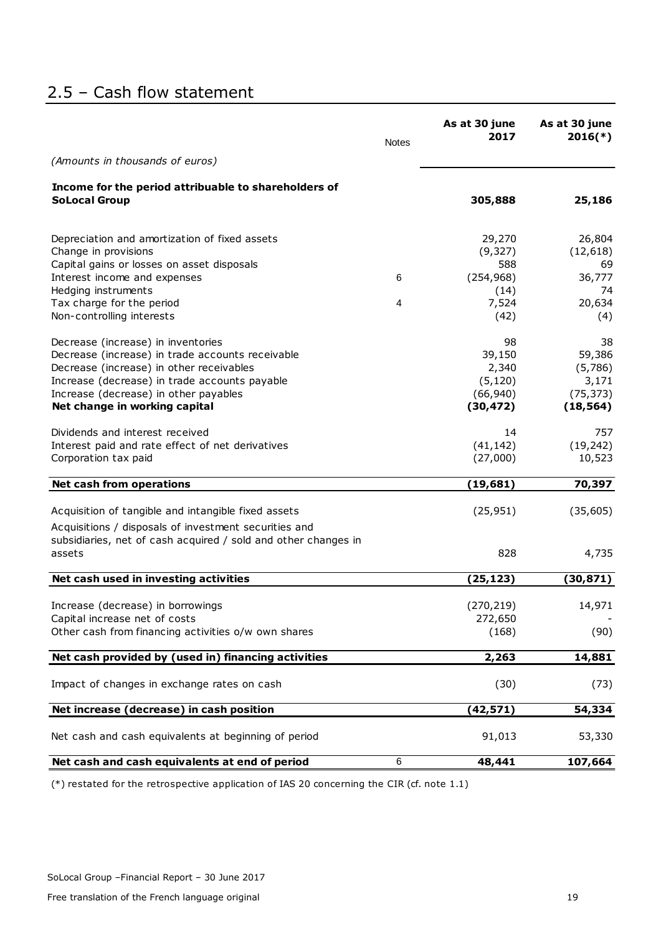# <span id="page-19-0"></span>2.5 – Cash flow statement

|                                                                                                                         | <b>Notes</b> | As at 30 june<br>2017 | As at 30 june<br>$2016(*)$ |
|-------------------------------------------------------------------------------------------------------------------------|--------------|-----------------------|----------------------------|
| (Amounts in thousands of euros)                                                                                         |              |                       |                            |
| Income for the period attribuable to shareholders of                                                                    |              |                       |                            |
| <b>SoLocal Group</b>                                                                                                    |              | 305,888               | 25,186                     |
| Depreciation and amortization of fixed assets                                                                           |              | 29,270                | 26,804                     |
| Change in provisions                                                                                                    |              | (9, 327)              | (12, 618)                  |
| Capital gains or losses on asset disposals                                                                              |              | 588                   | 69                         |
| Interest income and expenses                                                                                            | 6            | (254, 968)            | 36,777                     |
| Hedging instruments                                                                                                     |              | (14)                  | 74                         |
| Tax charge for the period                                                                                               | 4            | 7,524                 | 20,634                     |
| Non-controlling interests                                                                                               |              | (42)                  | (4)                        |
| Decrease (increase) in inventories                                                                                      |              | 98                    | 38                         |
| Decrease (increase) in trade accounts receivable                                                                        |              | 39,150                | 59,386                     |
| Decrease (increase) in other receivables                                                                                |              | 2,340                 | (5,786)                    |
| Increase (decrease) in trade accounts payable                                                                           |              | (5, 120)              | 3,171                      |
| Increase (decrease) in other payables                                                                                   |              | (66, 940)             | (75, 373)                  |
| Net change in working capital                                                                                           |              | (30, 472)             | (18, 564)                  |
| Dividends and interest received                                                                                         |              | 14                    | 757                        |
| Interest paid and rate effect of net derivatives                                                                        |              | (41, 142)             | (19, 242)                  |
| Corporation tax paid                                                                                                    |              | (27,000)              | 10,523                     |
| <b>Net cash from operations</b>                                                                                         |              | (19, 681)             | 70,397                     |
| Acquisition of tangible and intangible fixed assets                                                                     |              | (25, 951)             | (35, 605)                  |
|                                                                                                                         |              |                       |                            |
| Acquisitions / disposals of investment securities and<br>subsidiaries, net of cash acquired / sold and other changes in |              |                       |                            |
| assets                                                                                                                  |              | 828                   | 4,735                      |
| Net cash used in investing activities                                                                                   |              | (25, 123)             | (30, 871)                  |
| Increase (decrease) in borrowings                                                                                       |              | (270, 219)            | 14,971                     |
| Capital increase net of costs                                                                                           |              | 272,650               |                            |
| Other cash from financing activities o/w own shares                                                                     |              | (168)                 | (90)                       |
|                                                                                                                         |              |                       |                            |
| Net cash provided by (used in) financing activities                                                                     |              | 2,263                 | 14,881                     |
| Impact of changes in exchange rates on cash                                                                             |              | (30)                  | (73)                       |
| Net increase (decrease) in cash position                                                                                |              | (42, 571)             | 54,334                     |
| Net cash and cash equivalents at beginning of period                                                                    |              | 91,013                | 53,330                     |
| Net cash and cash equivalents at end of period                                                                          | 6            | 48,441                | 107,664                    |

(\*) restated for the retrospective application of IAS 20 concerning the CIR (cf. note 1.1)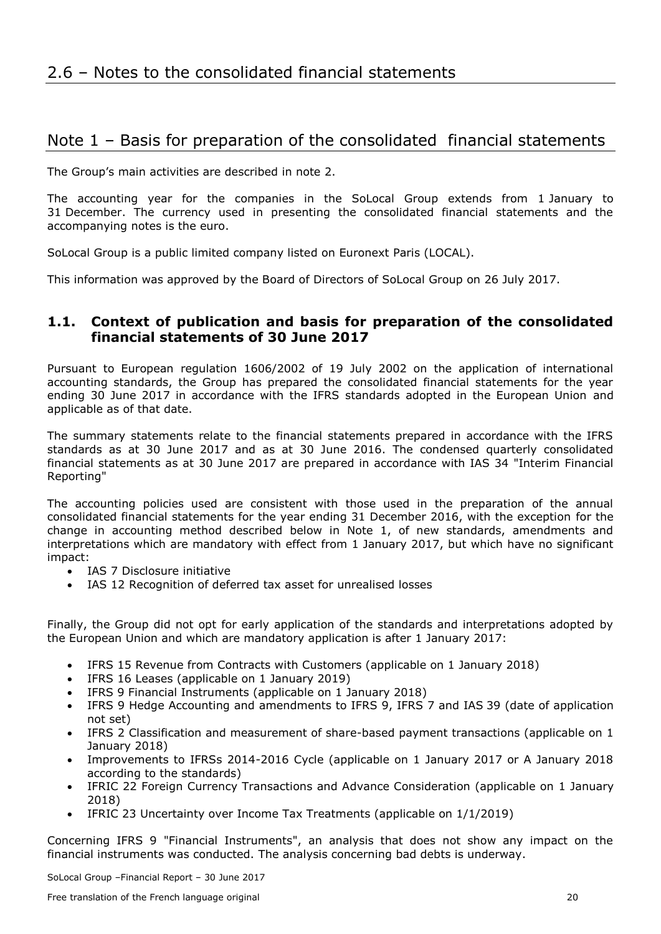# <span id="page-20-1"></span><span id="page-20-0"></span>Note 1 – Basis for preparation of the consolidated financial statements

The Group's main activities are described in note 2.

The accounting year for the companies in the SoLocal Group extends from 1 January to 31 December. The currency used in presenting the consolidated financial statements and the accompanying notes is the euro.

SoLocal Group is a public limited company listed on Euronext Paris (LOCAL).

This information was approved by the Board of Directors of SoLocal Group on 26 July 2017.

## **1.1. Context of publication and basis for preparation of the consolidated financial statements of 30 June 2017**

Pursuant to European regulation 1606/2002 of 19 July 2002 on the application of international accounting standards, the Group has prepared the consolidated financial statements for the year ending 30 June 2017 in accordance with the IFRS standards adopted in the European Union and applicable as of that date.

The summary statements relate to the financial statements prepared in accordance with the IFRS standards as at 30 June 2017 and as at 30 June 2016. The condensed quarterly consolidated financial statements as at 30 June 2017 are prepared in accordance with IAS 34 "Interim Financial Reporting"

The accounting policies used are consistent with those used in the preparation of the annual consolidated financial statements for the year ending 31 December 2016, with the exception for the change in accounting method described below in Note 1, of new standards, amendments and interpretations which are mandatory with effect from 1 January 2017, but which have no significant impact:

- IAS 7 Disclosure initiative
- IAS 12 Recognition of deferred tax asset for unrealised losses

Finally, the Group did not opt for early application of the standards and interpretations adopted by the European Union and which are mandatory application is after 1 January 2017:

- IFRS 15 Revenue from Contracts with Customers (applicable on 1 January 2018)
- IFRS 16 Leases (applicable on 1 January 2019)
- IFRS 9 Financial Instruments (applicable on 1 January 2018)
- IFRS 9 Hedge Accounting and amendments to IFRS 9, IFRS 7 and IAS 39 (date of application not set)
- IFRS 2 Classification and measurement of share-based payment transactions (applicable on 1 January 2018)
- Improvements to IFRSs 2014-2016 Cycle (applicable on 1 January 2017 or A January 2018 according to the standards)
- IFRIC 22 Foreign Currency Transactions and Advance Consideration (applicable on 1 January 2018)
- IFRIC 23 Uncertainty over Income Tax Treatments (applicable on 1/1/2019)

Concerning IFRS 9 "Financial Instruments", an analysis that does not show any impact on the financial instruments was conducted. The analysis concerning bad debts is underway.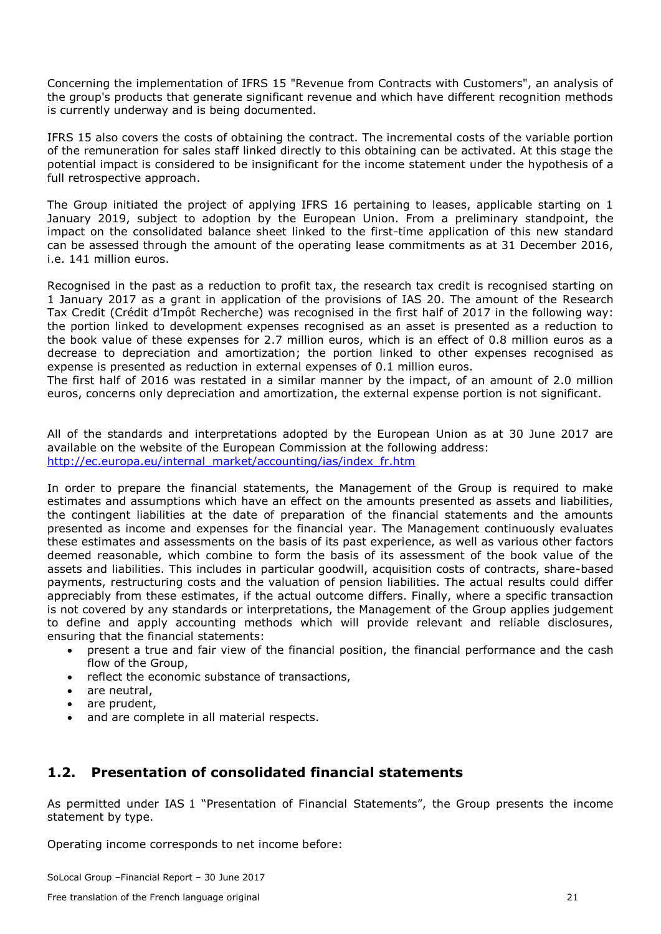Concerning the implementation of IFRS 15 "Revenue from Contracts with Customers", an analysis of the group's products that generate significant revenue and which have different recognition methods is currently underway and is being documented.

IFRS 15 also covers the costs of obtaining the contract. The incremental costs of the variable portion of the remuneration for sales staff linked directly to this obtaining can be activated. At this stage the potential impact is considered to be insignificant for the income statement under the hypothesis of a full retrospective approach.

The Group initiated the project of applying IFRS 16 pertaining to leases, applicable starting on 1 January 2019, subject to adoption by the European Union. From a preliminary standpoint, the impact on the consolidated balance sheet linked to the first-time application of this new standard can be assessed through the amount of the operating lease commitments as at 31 December 2016, i.e. 141 million euros.

Recognised in the past as a reduction to profit tax, the research tax credit is recognised starting on 1 January 2017 as a grant in application of the provisions of IAS 20. The amount of the Research Tax Credit (Crédit d'Impôt Recherche) was recognised in the first half of 2017 in the following way: the portion linked to development expenses recognised as an asset is presented as a reduction to the book value of these expenses for 2.7 million euros, which is an effect of 0.8 million euros as a decrease to depreciation and amortization; the portion linked to other expenses recognised as expense is presented as reduction in external expenses of 0.1 million euros.

The first half of 2016 was restated in a similar manner by the impact, of an amount of 2.0 million euros, concerns only depreciation and amortization, the external expense portion is not significant.

All of the standards and interpretations adopted by the European Union as at 30 June 2017 are available on the website of the European Commission at the following address: http://ec.europa.eu/internal\_market/accounting/ias/index\_fr.htm

In order to prepare the financial statements, the Management of the Group is required to make estimates and assumptions which have an effect on the amounts presented as assets and liabilities, the contingent liabilities at the date of preparation of the financial statements and the amounts presented as income and expenses for the financial year. The Management continuously evaluates these estimates and assessments on the basis of its past experience, as well as various other factors deemed reasonable, which combine to form the basis of its assessment of the book value of the assets and liabilities. This includes in particular goodwill, acquisition costs of contracts, share-based payments, restructuring costs and the valuation of pension liabilities. The actual results could differ appreciably from these estimates, if the actual outcome differs. Finally, where a specific transaction is not covered by any standards or interpretations, the Management of the Group applies judgement to define and apply accounting methods which will provide relevant and reliable disclosures, ensuring that the financial statements:

- present a true and fair view of the financial position, the financial performance and the cash flow of the Group,
- reflect the economic substance of transactions,
- are neutral,
- are prudent,
- and are complete in all material respects.

## **1.2. Presentation of consolidated financial statements**

As permitted under IAS 1 "Presentation of Financial Statements", the Group presents the income statement by type.

Operating income corresponds to net income before: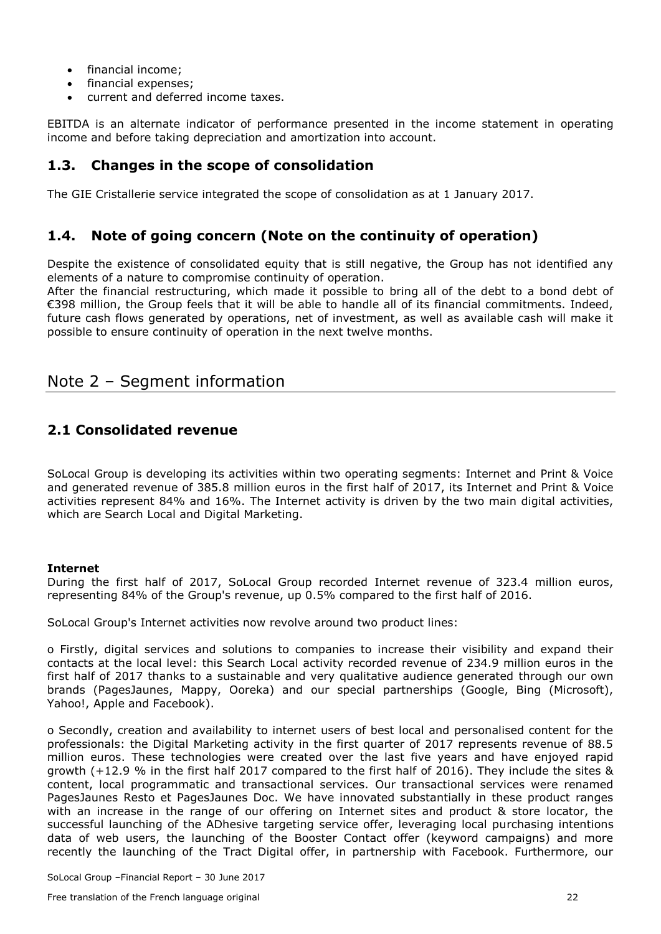- financial income:
- financial expenses;
- current and deferred income taxes.

EBITDA is an alternate indicator of performance presented in the income statement in operating income and before taking depreciation and amortization into account.

### **1.3. Changes in the scope of consolidation**

The GIE Cristallerie service integrated the scope of consolidation as at 1 January 2017.

### **1.4. Note of going concern (Note on the continuity of operation)**

Despite the existence of consolidated equity that is still negative, the Group has not identified any elements of a nature to compromise continuity of operation.

After the financial restructuring, which made it possible to bring all of the debt to a bond debt of €398 million, the Group feels that it will be able to handle all of its financial commitments. Indeed, future cash flows generated by operations, net of investment, as well as available cash will make it possible to ensure continuity of operation in the next twelve months.

## <span id="page-22-0"></span>Note 2 – Segment information

### **2.1 Consolidated revenue**

SoLocal Group is developing its activities within two operating segments: Internet and Print & Voice and generated revenue of 385.8 million euros in the first half of 2017, its Internet and Print & Voice activities represent 84% and 16%. The Internet activity is driven by the two main digital activities, which are Search Local and Digital Marketing.

#### **Internet**

During the first half of 2017, SoLocal Group recorded Internet revenue of 323.4 million euros, representing 84% of the Group's revenue, up 0.5% compared to the first half of 2016.

SoLocal Group's Internet activities now revolve around two product lines:

o Firstly, digital services and solutions to companies to increase their visibility and expand their contacts at the local level: this Search Local activity recorded revenue of 234.9 million euros in the first half of 2017 thanks to a sustainable and very qualitative audience generated through our own brands (PagesJaunes, Mappy, Ooreka) and our special partnerships (Google, Bing (Microsoft), Yahoo!, Apple and Facebook).

o Secondly, creation and availability to internet users of best local and personalised content for the professionals: the Digital Marketing activity in the first quarter of 2017 represents revenue of 88.5 million euros. These technologies were created over the last five years and have enjoyed rapid growth (+12.9 % in the first half 2017 compared to the first half of 2016). They include the sites & content, local programmatic and transactional services. Our transactional services were renamed PagesJaunes Resto et PagesJaunes Doc. We have innovated substantially in these product ranges with an increase in the range of our offering on Internet sites and product & store locator, the successful launching of the ADhesive targeting service offer, leveraging local purchasing intentions data of web users, the launching of the Booster Contact offer (keyword campaigns) and more recently the launching of the Tract Digital offer, in partnership with Facebook. Furthermore, our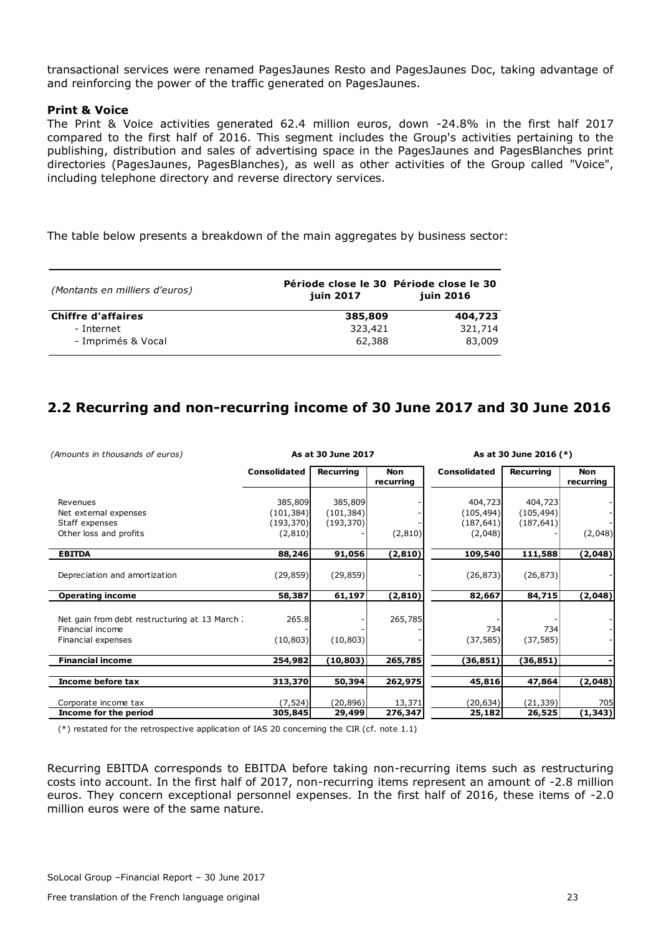transactional services were renamed PagesJaunes Resto and PagesJaunes Doc, taking advantage of and reinforcing the power of the traffic generated on PagesJaunes.

#### **Print & Voice**

The Print & Voice activities generated 62.4 million euros, down -24.8% in the first half 2017 compared to the first half of 2016. This segment includes the Group's activities pertaining to the publishing, distribution and sales of advertising space in the PagesJaunes and PagesBlanches print directories (PagesJaunes, PagesBlanches), as well as other activities of the Group called "Voice", including telephone directory and reverse directory services.

The table below presents a breakdown of the main aggregates by business sector:

| (Montants en milliers d'euros) | Période close le 30 Période close le 30<br>juin 2017 | juin 2016 |
|--------------------------------|------------------------------------------------------|-----------|
| <b>Chiffre d'affaires</b>      | 385,809                                              | 404,723   |
| - Internet                     | 323,421                                              | 321,714   |
| - Imprimés & Vocal             | 62,388                                               | 83,009    |

## **2.2 Recurring and non-recurring income of 30 June 2017 and 30 June 2016**

| (Amounts in thousands of euros)                                  | As at 30 June 2017    |                       |                         |                       | As at 30 June 2016 (*) |                         |
|------------------------------------------------------------------|-----------------------|-----------------------|-------------------------|-----------------------|------------------------|-------------------------|
|                                                                  | <b>Consolidated</b>   | Recurring             | <b>Non</b><br>recurring | <b>Consolidated</b>   | Recurring              | <b>Non</b><br>recurring |
| Revenues<br>Net external expenses                                | 385,809<br>(101, 384) | 385,809<br>(101, 384) |                         | 404,723<br>(105, 494) | 404,723<br>(105, 494)  |                         |
| Staff expenses                                                   | (193, 370)            | (193, 370)            |                         | (187, 641)            | (187, 641)             |                         |
| Other loss and profits                                           | (2, 810)              |                       | (2,810)                 | (2,048)               |                        | (2,048)                 |
| <b>EBITDA</b>                                                    | 88,246                | 91,056                | (2, 810)                | 109,540               | 111,588                | (2,048)                 |
| Depreciation and amortization                                    | (29, 859)             | (29, 859)             |                         | (26, 873)             | (26, 873)              |                         |
| <b>Operating income</b>                                          | 58,387                | 61,197                | (2, 810)                | 82,667                | 84,715                 | (2,048)                 |
| Net gain from debt restructuring at 13 March<br>Financial income | 265.8                 |                       | 265,785                 | 734                   | 734                    |                         |
| Financial expenses                                               | (10, 803)             | (10, 803)             |                         | (37, 585)             | (37, 585)              |                         |
| <b>Financial income</b>                                          | 254,982               | (10, 803)             | 265,785                 | (36, 851)             | (36,851)               |                         |
|                                                                  |                       |                       |                         |                       |                        |                         |
| Income before tax                                                | 313,370               | 50,394                | 262,975                 | 45,816                | 47,864                 | (2,048)                 |
| Corporate income tax                                             | (7, 524)              | (20, 896)             | 13,371                  | (20,634)              | (21, 339)              | 705                     |
| Income for the period                                            | 305,845               | 29,499                | 276,347                 | 25,182                | 26,525                 | (1, 343)                |

 $(*)$  restated for the retrospective application of IAS 20 concerning the CIR (cf. note 1.1)

Recurring EBITDA corresponds to EBITDA before taking non-recurring items such as restructuring costs into account. In the first half of 2017, non-recurring items represent an amount of -2.8 million euros. They concern exceptional personnel expenses. In the first half of 2016, these items of -2.0 million euros were of the same nature.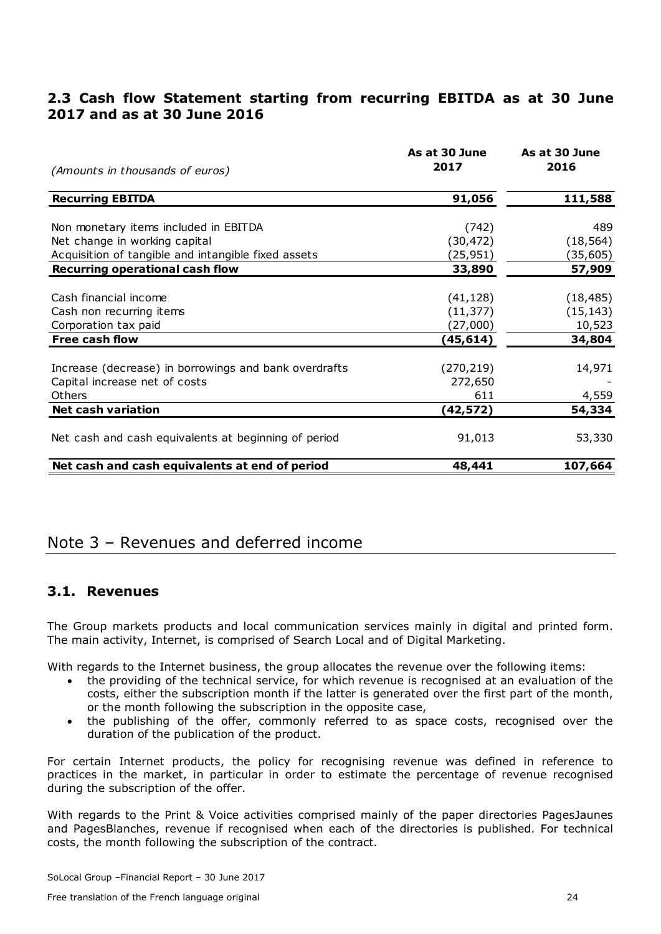## **2.3 Cash flow Statement starting from recurring EBITDA as at 30 June 2017 and as at 30 June 2016**

| (Amounts in thousands of euros)                       | As at 30 June<br>2017 | As at 30 June<br>2016 |
|-------------------------------------------------------|-----------------------|-----------------------|
| <b>Recurring EBITDA</b>                               | 91,056                | 111,588               |
|                                                       |                       |                       |
| Non monetary items included in EBITDA                 | (742)                 | 489                   |
| Net change in working capital                         | (30, 472)             | (18, 564)             |
| Acquisition of tangible and intangible fixed assets   | (25,951)              | (35, 605)             |
| <b>Recurring operational cash flow</b>                | 33,890                | 57,909                |
|                                                       |                       |                       |
| Cash financial income                                 | (41, 128)             | (18, 485)             |
| Cash non recurring items                              | (11, 377)             | (15, 143)             |
| Corporation tax paid                                  | (27,000)              | 10,523                |
| <b>Free cash flow</b>                                 | (45,614)              | 34,804                |
|                                                       |                       |                       |
| Increase (decrease) in borrowings and bank overdrafts | (270, 219)            | 14,971                |
| Capital increase net of costs                         | 272,650               |                       |
| Others                                                | 611                   | 4,559                 |
| <b>Net cash variation</b>                             | (42,572)              | 54,334                |
| Net cash and cash equivalents at beginning of period  | 91,013                | 53,330                |
| Net cash and cash equivalents at end of period        | 48,441                | 107,664               |

## <span id="page-24-0"></span>Note 3 – Revenues and deferred income

## **3.1. Revenues**

The Group markets products and local communication services mainly in digital and printed form. The main activity, Internet, is comprised of Search Local and of Digital Marketing.

With regards to the Internet business, the group allocates the revenue over the following items:

- the providing of the technical service, for which revenue is recognised at an evaluation of the costs, either the subscription month if the latter is generated over the first part of the month, or the month following the subscription in the opposite case,
- the publishing of the offer, commonly referred to as space costs, recognised over the duration of the publication of the product.

For certain Internet products, the policy for recognising revenue was defined in reference to practices in the market, in particular in order to estimate the percentage of revenue recognised during the subscription of the offer.

With regards to the Print & Voice activities comprised mainly of the paper directories PagesJaunes and PagesBlanches, revenue if recognised when each of the directories is published. For technical costs, the month following the subscription of the contract.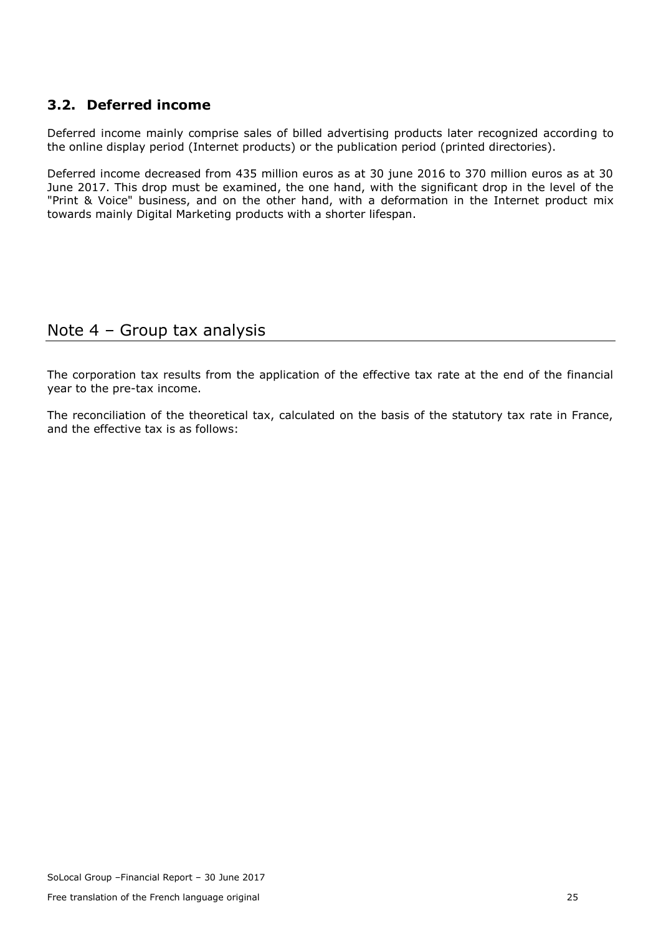## **3.2. Deferred income**

Deferred income mainly comprise sales of billed advertising products later recognized according to the online display period (Internet products) or the publication period (printed directories).

Deferred income decreased from 435 million euros as at 30 june 2016 to 370 million euros as at 30 June 2017. This drop must be examined, the one hand, with the significant drop in the level of the "Print & Voice" business, and on the other hand, with a deformation in the Internet product mix towards mainly Digital Marketing products with a shorter lifespan.

# <span id="page-25-0"></span>Note 4 – Group tax analysis

The corporation tax results from the application of the effective tax rate at the end of the financial year to the pre-tax income.

The reconciliation of the theoretical tax, calculated on the basis of the statutory tax rate in France, and the effective tax is as follows: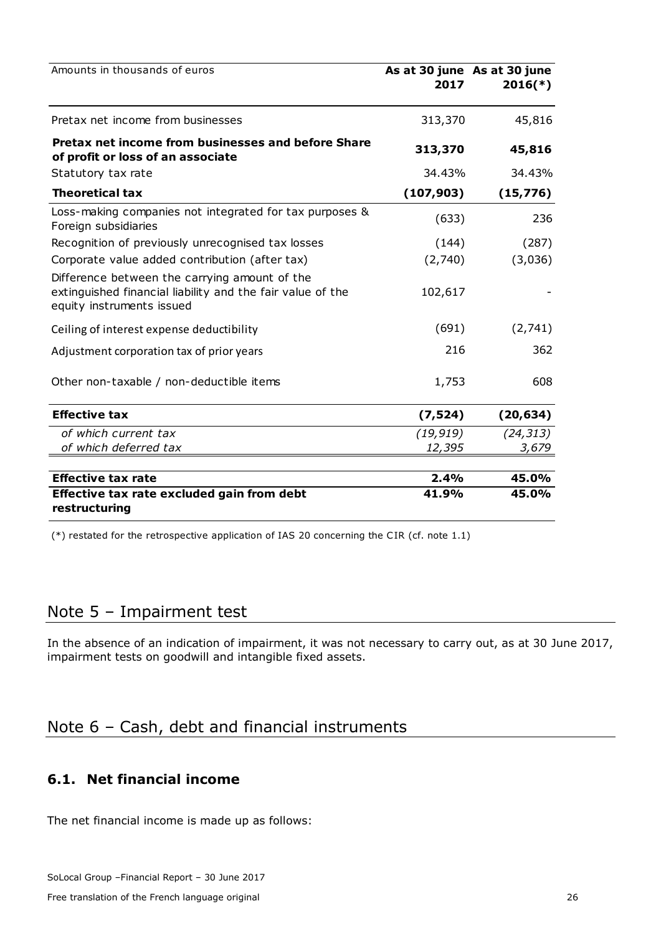| Amounts in thousands of euros                                                                                                            | 2017       | As at 30 june As at 30 june<br>$2016(*)$ |
|------------------------------------------------------------------------------------------------------------------------------------------|------------|------------------------------------------|
| Pretax net income from businesses                                                                                                        | 313,370    | 45,816                                   |
| Pretax net income from businesses and before Share<br>of profit or loss of an associate                                                  | 313,370    | 45,816                                   |
| Statutory tax rate                                                                                                                       | 34.43%     | 34.43%                                   |
| <b>Theoretical tax</b>                                                                                                                   | (107, 903) | (15, 776)                                |
| Loss-making companies not integrated for tax purposes &<br>Foreign subsidiaries                                                          | (633)      | 236                                      |
| Recognition of previously unrecognised tax losses                                                                                        | (144)      | (287)                                    |
| Corporate value added contribution (after tax)                                                                                           | (2,740)    | (3,036)                                  |
| Difference between the carrying amount of the<br>extinguished financial liability and the fair value of the<br>equity instruments issued | 102,617    |                                          |
| Ceiling of interest expense deductibility                                                                                                | (691)      | (2,741)                                  |
| Adjustment corporation tax of prior years                                                                                                | 216        | 362                                      |
| Other non-taxable / non-deductible items                                                                                                 | 1,753      | 608                                      |
| <b>Effective tax</b>                                                                                                                     | (7, 524)   | (20, 634)                                |
| of which current tax                                                                                                                     | (19, 919)  | (24, 313)                                |
| of which deferred tax                                                                                                                    | 12,395     | 3,679                                    |
| <b>Effective tax rate</b>                                                                                                                | 2.4%       | 45.0%                                    |
| Effective tax rate excluded gain from debt                                                                                               | 41.9%      | 45.0%                                    |
| restructuring                                                                                                                            |            |                                          |

(\*) restated for the retrospective application of IAS 20 concerning the C IR (cf. note 1.1)

## <span id="page-26-0"></span>Note 5 – Impairment test

In the absence of an indication of impairment, it was not necessary to carry out, as at 30 June 2017, impairment tests on goodwill and intangible fixed assets.

# <span id="page-26-1"></span>Note 6 – Cash, debt and financial instruments

## **6.1. Net financial income**

The net financial income is made up as follows: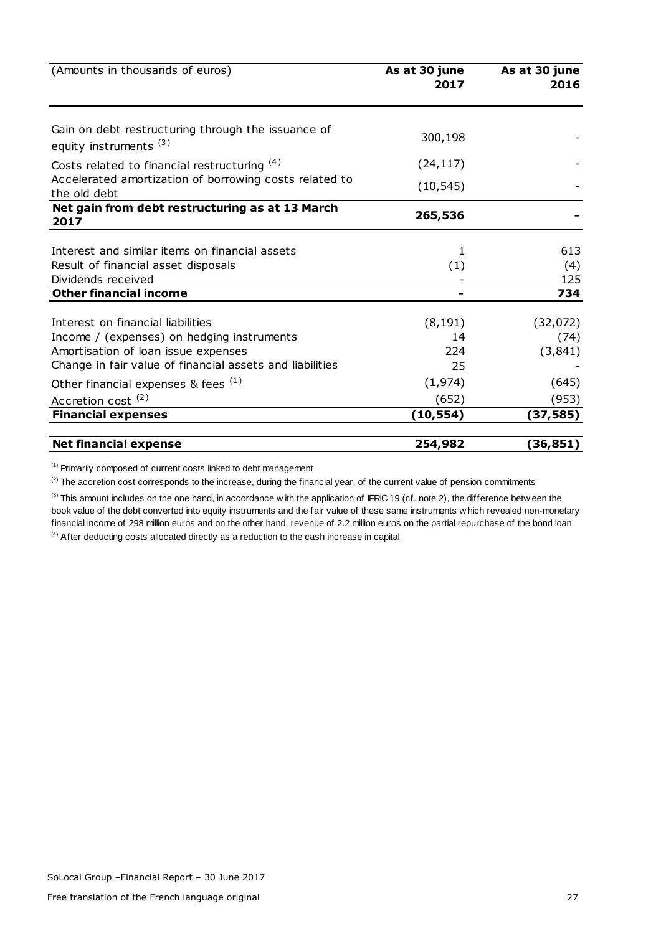| (Amounts in thousands of euros)                                                         | As at 30 june<br>2017 | As at 30 june<br>2016 |
|-----------------------------------------------------------------------------------------|-----------------------|-----------------------|
|                                                                                         |                       |                       |
| Gain on debt restructuring through the issuance of<br>equity instruments <sup>(3)</sup> | 300,198               |                       |
| Costs related to financial restructuring (4)                                            | (24, 117)             |                       |
| Accelerated amortization of borrowing costs related to<br>the old debt                  | (10, 545)             |                       |
| Net gain from debt restructuring as at 13 March<br>2017                                 | 265,536               |                       |
| Interest and similar items on financial assets                                          | 1                     | 613                   |
| Result of financial asset disposals                                                     | (1)                   | (4)                   |
| Dividends received                                                                      |                       | 125                   |
| <b>Other financial income</b>                                                           | -                     | 734                   |
| Interest on financial liabilities                                                       | (8, 191)              | (32,072)              |
| Income / (expenses) on hedging instruments                                              | 14                    | (74)                  |
| Amortisation of loan issue expenses                                                     | 224                   | (3, 841)              |
| Change in fair value of financial assets and liabilities                                | 25                    |                       |
| Other financial expenses & fees (1)                                                     | (1, 974)              | (645)                 |
| Accretion cost <sup>(2)</sup>                                                           | (652)                 | (953)                 |
| <b>Financial expenses</b>                                                               | (10,554)              | (37,585)              |
| <b>Net financial expense</b>                                                            | 254,982               | (36,851)              |

(1) Primarily composed of current costs linked to debt management

 $^{(2)}$  The accretion cost corresponds to the increase, during the financial year, of the current value of pension commitments

<sup>(1)</sup> Primarily composed of current costs linked to debt management<br><sup>(2)</sup> The accretion cost corresponds to the increase, during the financial year, of the current value of pension commitments<br><sup>(3)</sup> This amount includes on (1) Primarily composed of current costs linked to debt management<br>
(2) The accretion cost corresponds to the increase, during the financial year, of the current value of pension commitments<br>
(3) This amount includes on th financial income of 298 million euros and on the other hand, revenue of 2.2 million euros on the partial repurchase of the bond loan <sup>(4)</sup> After deducting costs allocated directly as a reduction to the cash increase in capital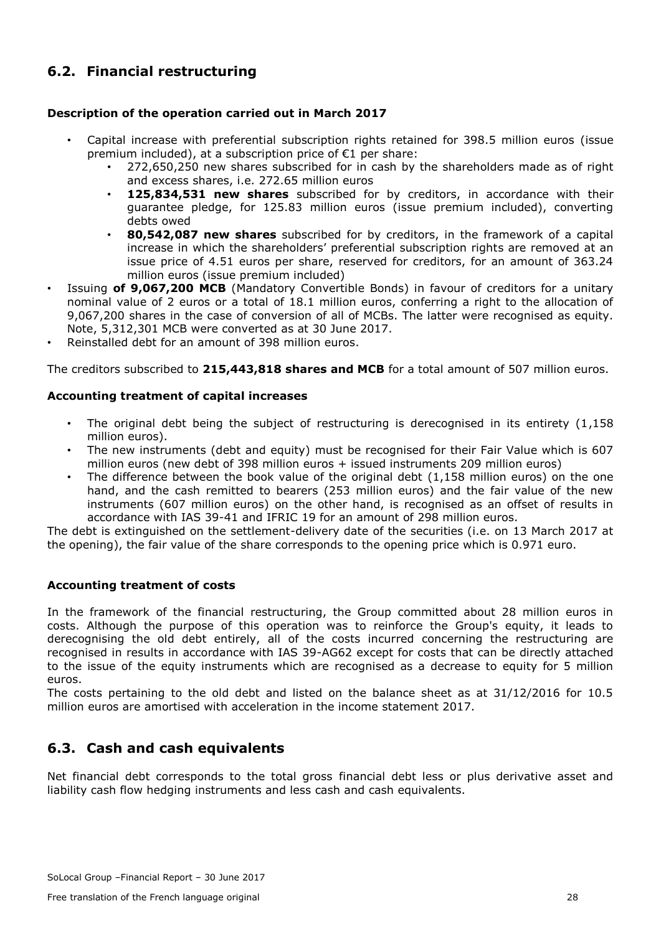## **6.2. Financial restructuring**

#### **Description of the operation carried out in March 2017**

- Capital increase with preferential subscription rights retained for 398.5 million euros (issue premium included), at a subscription price of €1 per share:
	- 272,650,250 new shares subscribed for in cash by the shareholders made as of right and excess shares, i.e. 272.65 million euros
	- **125,834,531 new shares** subscribed for by creditors, in accordance with their guarantee pledge, for 125.83 million euros (issue premium included), converting debts owed
	- **80,542,087 new shares** subscribed for by creditors, in the framework of a capital increase in which the shareholders' preferential subscription rights are removed at an issue price of 4.51 euros per share, reserved for creditors, for an amount of 363.24 million euros (issue premium included)
- Issuing **of 9,067,200 MCB** (Mandatory Convertible Bonds) in favour of creditors for a unitary nominal value of 2 euros or a total of 18.1 million euros, conferring a right to the allocation of 9,067,200 shares in the case of conversion of all of MCBs. The latter were recognised as equity. Note, 5,312,301 MCB were converted as at 30 June 2017.
- Reinstalled debt for an amount of 398 million euros.

The creditors subscribed to **215,443,818 shares and MCB** for a total amount of 507 million euros.

#### **Accounting treatment of capital increases**

- The original debt being the subject of restructuring is derecognised in its entirety  $(1.158)$ million euros).
- The new instruments (debt and equity) must be recognised for their Fair Value which is 607 million euros (new debt of 398 million euros + issued instruments 209 million euros)
- The difference between the book value of the original debt  $(1,158$  million euros) on the one hand, and the cash remitted to bearers (253 million euros) and the fair value of the new instruments (607 million euros) on the other hand, is recognised as an offset of results in accordance with IAS 39-41 and IFRIC 19 for an amount of 298 million euros.

The debt is extinguished on the settlement-delivery date of the securities (i.e. on 13 March 2017 at the opening), the fair value of the share corresponds to the opening price which is 0.971 euro.

#### **Accounting treatment of costs**

In the framework of the financial restructuring, the Group committed about 28 million euros in costs. Although the purpose of this operation was to reinforce the Group's equity, it leads to derecognising the old debt entirely, all of the costs incurred concerning the restructuring are recognised in results in accordance with IAS 39-AG62 except for costs that can be directly attached to the issue of the equity instruments which are recognised as a decrease to equity for 5 million euros.

The costs pertaining to the old debt and listed on the balance sheet as at 31/12/2016 for 10.5 million euros are amortised with acceleration in the income statement 2017.

## **6.3. Cash and cash equivalents**

Net financial debt corresponds to the total gross financial debt less or plus derivative asset and liability cash flow hedging instruments and less cash and cash equivalents.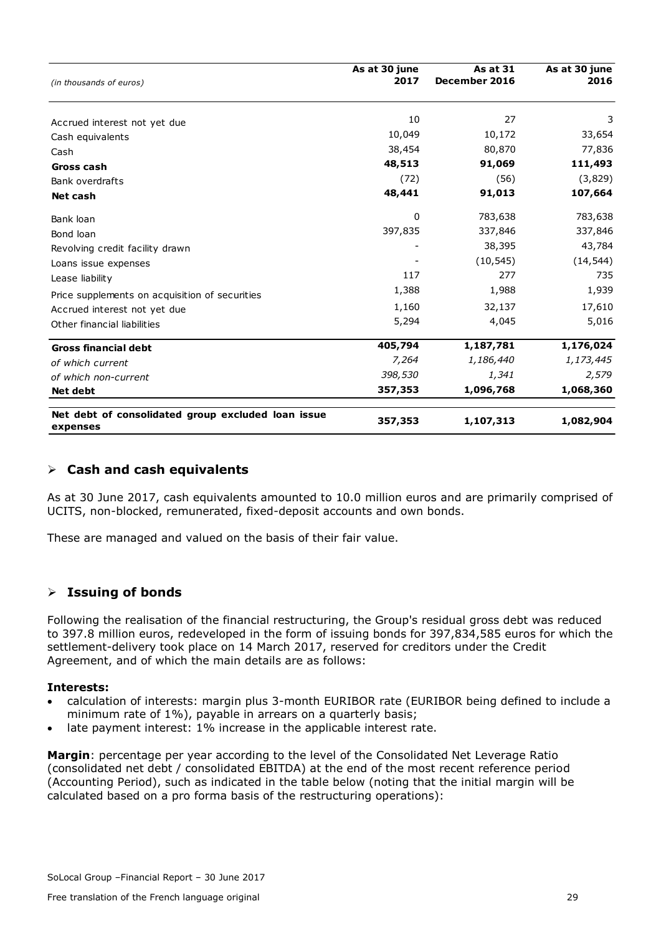| (in thousands of euros)                                        | As at 30 june<br>2017 | <b>As at 31</b><br>December 2016 | As at 30 june<br>2016 |
|----------------------------------------------------------------|-----------------------|----------------------------------|-----------------------|
| Accrued interest not yet due                                   | 10                    | 27                               | 3                     |
| Cash equivalents                                               | 10,049                | 10,172                           | 33,654                |
| Cash                                                           | 38,454                | 80,870                           | 77,836                |
| Gross cash                                                     | 48,513                | 91,069                           | 111,493               |
| Bank overdrafts                                                | (72)                  | (56)                             | (3,829)               |
| Net cash                                                       | 48,441                | 91,013                           | 107,664               |
| Bank loan                                                      | 0                     | 783,638                          | 783,638               |
| Bond loan                                                      | 397,835               | 337,846                          | 337,846               |
| Revolving credit facility drawn                                |                       | 38,395                           | 43,784                |
| Loans issue expenses                                           |                       | (10, 545)                        | (14, 544)             |
| Lease liability                                                | 117                   | 277                              | 735                   |
| Price supplements on acquisition of securities                 | 1,388                 | 1,988                            | 1,939                 |
| Accrued interest not yet due                                   | 1,160                 | 32,137                           | 17,610                |
| Other financial liabilities                                    | 5,294                 | 4,045                            | 5,016                 |
| <b>Gross financial debt</b>                                    | 405,794               | 1,187,781                        | 1,176,024             |
| of which current                                               | 7,264                 | 1,186,440                        | 1,173,445             |
| of which non-current                                           | 398,530               | 1,341                            | 2,579                 |
| <b>Net debt</b>                                                | 357,353               | 1,096,768                        | 1,068,360             |
| Net debt of consolidated group excluded loan issue<br>expenses | 357,353               | 1,107,313                        | 1,082,904             |

#### **Cash and cash equivalents**

As at 30 June 2017, cash equivalents amounted to 10.0 million euros and are primarily comprised of UCITS, non-blocked, remunerated, fixed-deposit accounts and own bonds.

These are managed and valued on the basis of their fair value.

#### **Issuing of bonds**

Following the realisation of the financial restructuring, the Group's residual gross debt was reduced to 397.8 million euros, redeveloped in the form of issuing bonds for 397,834,585 euros for which the settlement-delivery took place on 14 March 2017, reserved for creditors under the Credit Agreement, and of which the main details are as follows:

#### **Interests:**

- calculation of interests: margin plus 3-month EURIBOR rate (EURIBOR being defined to include a minimum rate of 1%), payable in arrears on a quarterly basis;
- late payment interest: 1% increase in the applicable interest rate.

**Margin**: percentage per year according to the level of the Consolidated Net Leverage Ratio (consolidated net debt / consolidated EBITDA) at the end of the most recent reference period (Accounting Period), such as indicated in the table below (noting that the initial margin will be calculated based on a pro forma basis of the restructuring operations):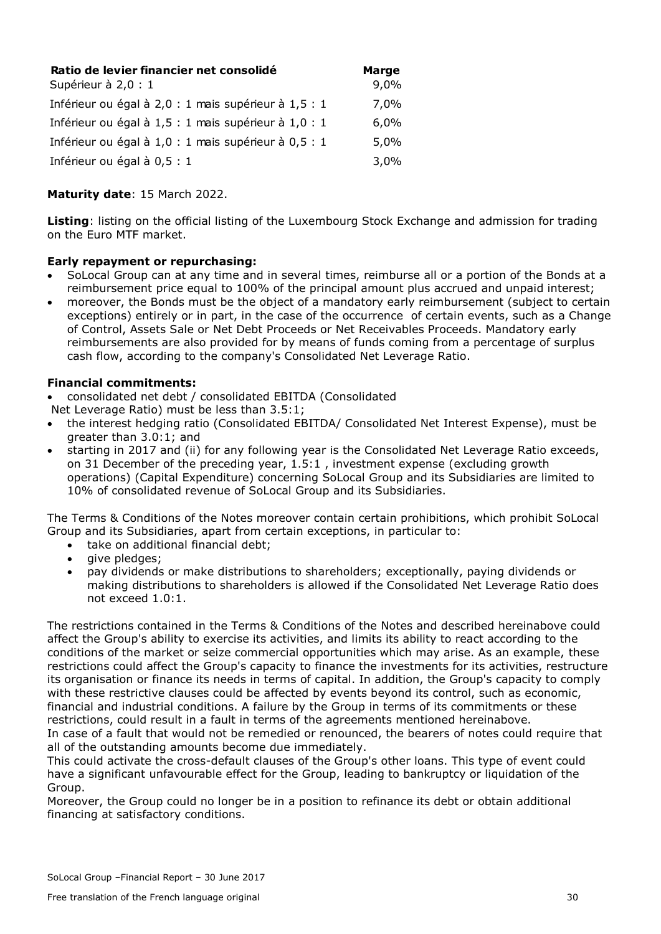| Ratio de levier financier net consolidé              | <b>Marge</b> |
|------------------------------------------------------|--------------|
| Supérieur à 2,0 : 1                                  | 9,0%         |
| Inférieur ou égal à 2,0 : 1 mais supérieur à 1,5 : 1 | 7,0%         |
| Inférieur ou égal à 1,5 : 1 mais supérieur à 1,0 : 1 | 6,0%         |
| Inférieur ou égal à 1,0 : 1 mais supérieur à 0,5 : 1 | 5,0%         |
| Inférieur ou égal à 0,5 : 1                          | 3,0%         |

#### **Maturity date**: 15 March 2022.

**Listing**: listing on the official listing of the Luxembourg Stock Exchange and admission for trading on the Euro MTF market.

#### **Early repayment or repurchasing:**

- SoLocal Group can at any time and in several times, reimburse all or a portion of the Bonds at a reimbursement price equal to 100% of the principal amount plus accrued and unpaid interest;
- moreover, the Bonds must be the object of a mandatory early reimbursement (subject to certain exceptions) entirely or in part, in the case of the occurrence of certain events, such as a Change of Control, Assets Sale or Net Debt Proceeds or Net Receivables Proceeds. Mandatory early reimbursements are also provided for by means of funds coming from a percentage of surplus cash flow, according to the company's Consolidated Net Leverage Ratio.

#### **Financial commitments:**

- consolidated net debt / consolidated EBITDA (Consolidated
- Net Leverage Ratio) must be less than 3.5:1;
- the interest hedging ratio (Consolidated EBITDA/ Consolidated Net Interest Expense), must be greater than 3.0:1; and
- starting in 2017 and (ii) for any following year is the Consolidated Net Leverage Ratio exceeds, on 31 December of the preceding year, 1.5:1 , investment expense (excluding growth operations) (Capital Expenditure) concerning SoLocal Group and its Subsidiaries are limited to 10% of consolidated revenue of SoLocal Group and its Subsidiaries.

The Terms & Conditions of the Notes moreover contain certain prohibitions, which prohibit SoLocal Group and its Subsidiaries, apart from certain exceptions, in particular to:

- take on additional financial debt;
- give pledges;
- pay dividends or make distributions to shareholders; exceptionally, paying dividends or making distributions to shareholders is allowed if the Consolidated Net Leverage Ratio does not exceed 1.0:1.

The restrictions contained in the Terms & Conditions of the Notes and described hereinabove could affect the Group's ability to exercise its activities, and limits its ability to react according to the conditions of the market or seize commercial opportunities which may arise. As an example, these restrictions could affect the Group's capacity to finance the investments for its activities, restructure its organisation or finance its needs in terms of capital. In addition, the Group's capacity to comply with these restrictive clauses could be affected by events beyond its control, such as economic, financial and industrial conditions. A failure by the Group in terms of its commitments or these restrictions, could result in a fault in terms of the agreements mentioned hereinabove. In case of a fault that would not be remedied or renounced, the bearers of notes could require that all of the outstanding amounts become due immediately.

This could activate the cross-default clauses of the Group's other loans. This type of event could have a significant unfavourable effect for the Group, leading to bankruptcy or liquidation of the Group.

Moreover, the Group could no longer be in a position to refinance its debt or obtain additional financing at satisfactory conditions.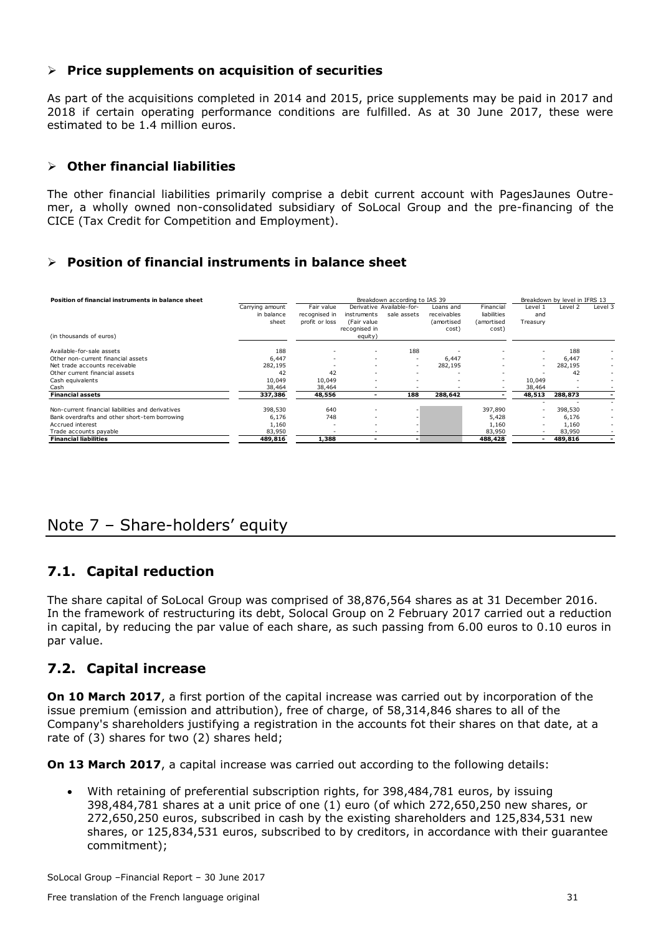#### **Price supplements on acquisition of securities**

As part of the acquisitions completed in 2014 and 2015, price supplements may be paid in 2017 and 2018 if certain operating performance conditions are fulfilled. As at 30 June 2017, these were estimated to be 1.4 million euros.

#### **Other financial liabilities**

The other financial liabilities primarily comprise a debit current account with PagesJaunes Outremer, a wholly owned non-consolidated subsidiary of SoLocal Group and the pre-financing of the CICE (Tax Credit for Competition and Employment).

#### **Position of financial instruments in balance sheet**

| Position of financial instruments in balance sheet |                 | Breakdown according to IAS 39 |                          |                           |                   |                          |          | Breakdown by level in IFRS 13 |         |  |  |
|----------------------------------------------------|-----------------|-------------------------------|--------------------------|---------------------------|-------------------|--------------------------|----------|-------------------------------|---------|--|--|
|                                                    | Carrying amount | Fair value                    |                          | Derivative Available-for- | Loans and         | Financial                | Level 1  | Level <sub>2</sub>            | Level 3 |  |  |
|                                                    | in balance      | recognised in                 | instruments              | sale assets               | receivables       | liabilities              | and      |                               |         |  |  |
|                                                    | sheet           | profit or loss                | (Fair value              |                           | <i>(amortised</i> | (amortised               | Treasury |                               |         |  |  |
|                                                    |                 |                               | recognised in            |                           | cost)             | cost)                    |          |                               |         |  |  |
| (in thousands of euros)                            |                 |                               | equity)                  |                           |                   |                          |          |                               |         |  |  |
| Available-for-sale assets                          | 188             |                               | $\overline{\phantom{a}}$ | 188                       |                   |                          |          | 188                           |         |  |  |
| Other non-current financial assets                 | 6,447           |                               | ۰                        | $\overline{\phantom{a}}$  | 6,447             |                          | ۰        | 6,447                         |         |  |  |
| Net trade accounts receivable                      | 282,195         |                               | ۰                        |                           | 282,195           |                          | $\sim$   | 282,195                       |         |  |  |
| Other current financial assets                     | 42              | 42                            | ۰                        | $\overline{\phantom{a}}$  |                   |                          |          | 42                            | $\sim$  |  |  |
| Cash equivalents                                   | 10,049          | 10,049                        | ۰                        | $\overline{\phantom{a}}$  |                   | $\overline{\phantom{a}}$ | 10,049   |                               |         |  |  |
| Cash                                               | 38,464          | 38,464                        | ٠                        |                           |                   |                          | 38,464   |                               |         |  |  |
| <b>Financial assets</b>                            | 337,386         | 48,556                        |                          | 188                       | 288,642           |                          | 48,513   | 288,873                       |         |  |  |
|                                                    |                 |                               |                          |                           |                   |                          |          |                               |         |  |  |
| Non-current financial liabilities and derivatives  | 398,530         | 640                           | ۰                        |                           |                   | 397,890                  | ٠        | 398,530                       |         |  |  |
| Bank overdrafts and other short-tem borrowing      | 6,176           | 748                           | ۰                        |                           |                   | 5,428                    | ۰        | 6,176                         |         |  |  |
| Accrued interest                                   | 1,160           |                               | ۰                        |                           |                   | 1,160                    | ۰        | 1,160                         |         |  |  |
| Trade accounts payable                             | 83,950          |                               | ۰                        |                           |                   | 83,950                   | ۰        | 83,950                        |         |  |  |
| <b>Financial liabilities</b>                       | 489,816         | 1,388                         |                          | $\overline{\phantom{0}}$  |                   | 488,428                  |          | 489,816                       |         |  |  |

# <span id="page-31-0"></span>Note 7 – Share-holders' equity

## **7.1. Capital reduction**

The share capital of SoLocal Group was comprised of 38,876,564 shares as at 31 December 2016. In the framework of restructuring its debt, Solocal Group on 2 February 2017 carried out a reduction in capital, by reducing the par value of each share, as such passing from 6.00 euros to 0.10 euros in par value.

## **7.2. Capital increase**

**On 10 March 2017**, a first portion of the capital increase was carried out by incorporation of the issue premium (emission and attribution), free of charge, of 58,314,846 shares to all of the Company's shareholders justifying a registration in the accounts fot their shares on that date, at a rate of (3) shares for two (2) shares held;

**On 13 March 2017**, a capital increase was carried out according to the following details:

 With retaining of preferential subscription rights, for 398,484,781 euros, by issuing 398,484,781 shares at a unit price of one (1) euro (of which 272,650,250 new shares, or 272,650,250 euros, subscribed in cash by the existing shareholders and 125,834,531 new shares, or 125,834,531 euros, subscribed to by creditors, in accordance with their guarantee commitment);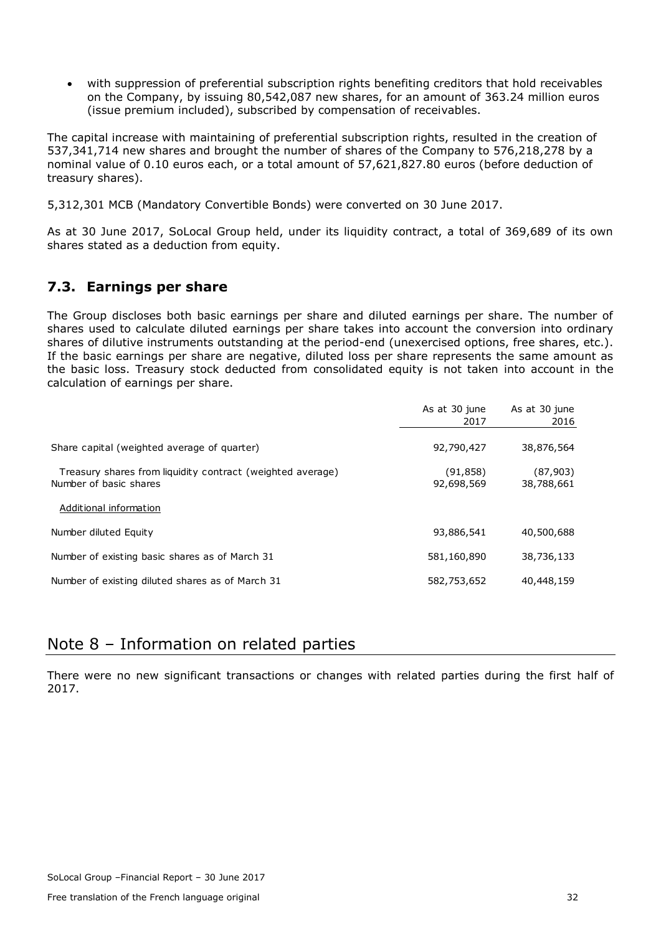with suppression of preferential subscription rights benefiting creditors that hold receivables on the Company, by issuing 80,542,087 new shares, for an amount of 363.24 million euros (issue premium included), subscribed by compensation of receivables.

The capital increase with maintaining of preferential subscription rights, resulted in the creation of 537,341,714 new shares and brought the number of shares of the Company to 576,218,278 by a nominal value of 0.10 euros each, or a total amount of 57,621,827.80 euros (before deduction of treasury shares).

5,312,301 MCB (Mandatory Convertible Bonds) were converted on 30 June 2017.

As at 30 June 2017, SoLocal Group held, under its liquidity contract, a total of 369,689 of its own shares stated as a deduction from equity.

### **7.3. Earnings per share**

The Group discloses both basic earnings per share and diluted earnings per share. The number of shares used to calculate diluted earnings per share takes into account the conversion into ordinary shares of dilutive instruments outstanding at the period-end (unexercised options, free shares, etc.). If the basic earnings per share are negative, diluted loss per share represents the same amount as the basic loss. Treasury stock deducted from consolidated equity is not taken into account in the calculation of earnings per share.

|                                                            | As at 30 june<br>2017 | As at 30 june<br>2016 |
|------------------------------------------------------------|-----------------------|-----------------------|
|                                                            |                       |                       |
| Share capital (weighted average of quarter)                | 92,790,427            | 38,876,564            |
| Treasury shares from liquidity contract (weighted average) | (91, 858)             | (87,903)              |
| Number of basic shares                                     | 92,698,569            | 38,788,661            |
| Additional information                                     |                       |                       |
| Number diluted Equity                                      | 93,886,541            | 40,500,688            |
| Number of existing basic shares as of March 31             | 581,160,890           | 38,736,133            |
| Number of existing diluted shares as of March 31           | 582,753,652           | 40,448,159            |

## <span id="page-32-0"></span>Note 8 – Information on related parties

There were no new significant transactions or changes with related parties during the first half of 2017.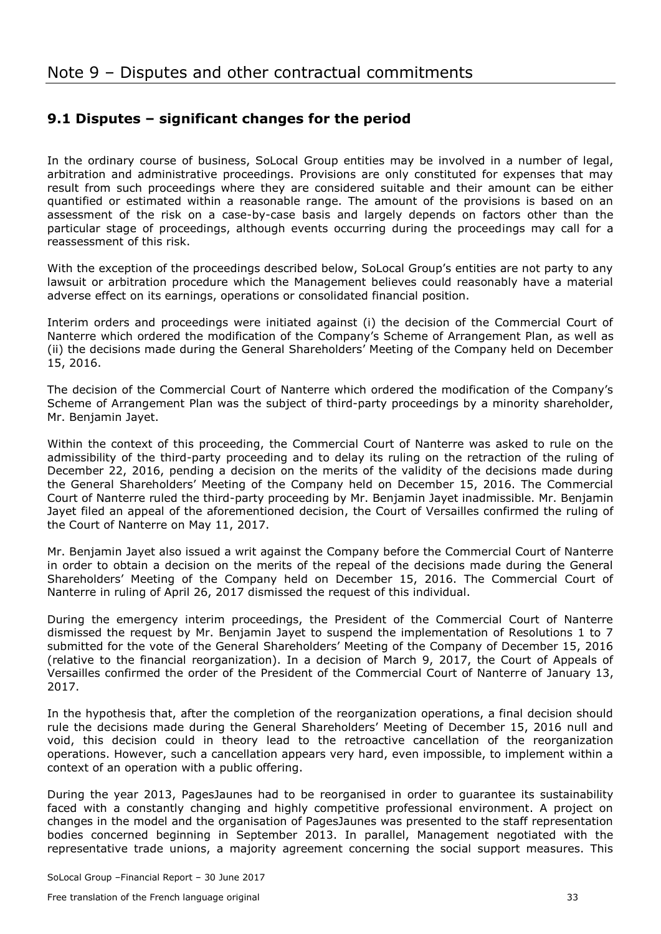## <span id="page-33-0"></span>**9.1 Disputes – significant changes for the period**

In the ordinary course of business, SoLocal Group entities may be involved in a number of legal, arbitration and administrative proceedings. Provisions are only constituted for expenses that may result from such proceedings where they are considered suitable and their amount can be either quantified or estimated within a reasonable range. The amount of the provisions is based on an assessment of the risk on a case-by-case basis and largely depends on factors other than the particular stage of proceedings, although events occurring during the proceedings may call for a reassessment of this risk.

With the exception of the proceedings described below, SoLocal Group's entities are not party to any lawsuit or arbitration procedure which the Management believes could reasonably have a material adverse effect on its earnings, operations or consolidated financial position.

Interim orders and proceedings were initiated against (i) the decision of the Commercial Court of Nanterre which ordered the modification of the Company's Scheme of Arrangement Plan, as well as (ii) the decisions made during the General Shareholders' Meeting of the Company held on December 15, 2016.

The decision of the Commercial Court of Nanterre which ordered the modification of the Company's Scheme of Arrangement Plan was the subject of third-party proceedings by a minority shareholder, Mr. Benjamin Jayet.

Within the context of this proceeding, the Commercial Court of Nanterre was asked to rule on the admissibility of the third-party proceeding and to delay its ruling on the retraction of the ruling of December 22, 2016, pending a decision on the merits of the validity of the decisions made during the General Shareholders' Meeting of the Company held on December 15, 2016. The Commercial Court of Nanterre ruled the third-party proceeding by Mr. Benjamin Jayet inadmissible. Mr. Benjamin Jayet filed an appeal of the aforementioned decision, the Court of Versailles confirmed the ruling of the Court of Nanterre on May 11, 2017.

Mr. Benjamin Jayet also issued a writ against the Company before the Commercial Court of Nanterre in order to obtain a decision on the merits of the repeal of the decisions made during the General Shareholders' Meeting of the Company held on December 15, 2016. The Commercial Court of Nanterre in ruling of April 26, 2017 dismissed the request of this individual.

During the emergency interim proceedings, the President of the Commercial Court of Nanterre dismissed the request by Mr. Benjamin Jayet to suspend the implementation of Resolutions 1 to 7 submitted for the vote of the General Shareholders' Meeting of the Company of December 15, 2016 (relative to the financial reorganization). In a decision of March 9, 2017, the Court of Appeals of Versailles confirmed the order of the President of the Commercial Court of Nanterre of January 13, 2017.

In the hypothesis that, after the completion of the reorganization operations, a final decision should rule the decisions made during the General Shareholders' Meeting of December 15, 2016 null and void, this decision could in theory lead to the retroactive cancellation of the reorganization operations. However, such a cancellation appears very hard, even impossible, to implement within a context of an operation with a public offering.

During the year 2013, PagesJaunes had to be reorganised in order to guarantee its sustainability faced with a constantly changing and highly competitive professional environment. A project on changes in the model and the organisation of PagesJaunes was presented to the staff representation bodies concerned beginning in September 2013. In parallel, Management negotiated with the representative trade unions, a majority agreement concerning the social support measures. This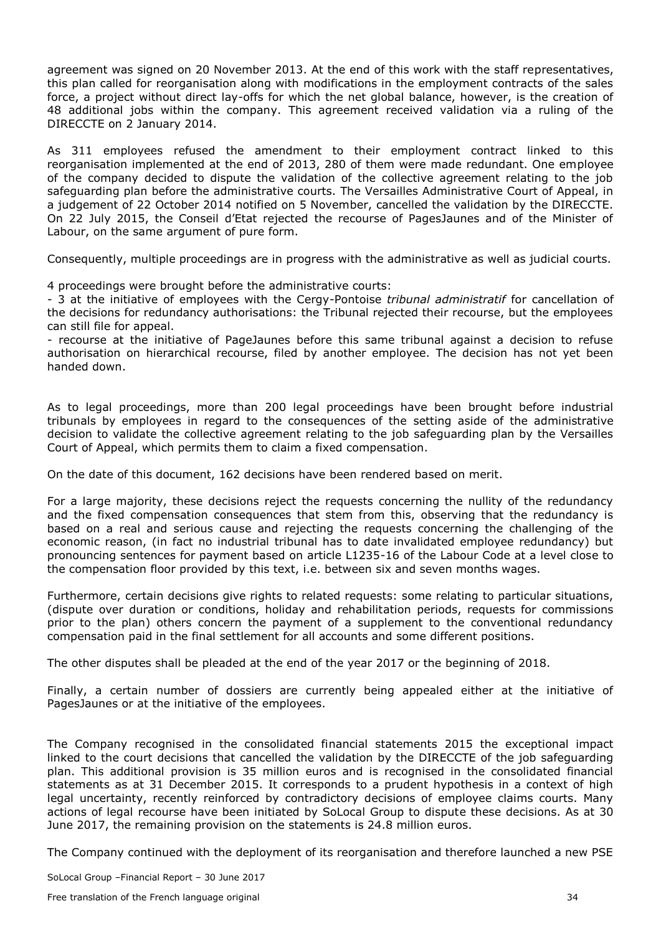agreement was signed on 20 November 2013. At the end of this work with the staff representatives, this plan called for reorganisation along with modifications in the employment contracts of the sales force, a project without direct lay-offs for which the net global balance, however, is the creation of 48 additional jobs within the company. This agreement received validation via a ruling of the DIRECCTE on 2 January 2014.

As 311 employees refused the amendment to their employment contract linked to this reorganisation implemented at the end of 2013, 280 of them were made redundant. One employee of the company decided to dispute the validation of the collective agreement relating to the job safeguarding plan before the administrative courts. The Versailles Administrative Court of Appeal, in a judgement of 22 October 2014 notified on 5 November, cancelled the validation by the DIRECCTE. On 22 July 2015, the Conseil d'Etat rejected the recourse of PagesJaunes and of the Minister of Labour, on the same argument of pure form.

Consequently, multiple proceedings are in progress with the administrative as well as judicial courts.

4 proceedings were brought before the administrative courts:

- 3 at the initiative of employees with the Cergy-Pontoise *tribunal administratif* for cancellation of the decisions for redundancy authorisations: the Tribunal rejected their recourse, but the employees can still file for appeal.

- recourse at the initiative of PageJaunes before this same tribunal against a decision to refuse authorisation on hierarchical recourse, filed by another employee. The decision has not yet been handed down.

As to legal proceedings, more than 200 legal proceedings have been brought before industrial tribunals by employees in regard to the consequences of the setting aside of the administrative decision to validate the collective agreement relating to the job safeguarding plan by the Versailles Court of Appeal, which permits them to claim a fixed compensation.

On the date of this document, 162 decisions have been rendered based on merit.

For a large majority, these decisions reject the requests concerning the nullity of the redundancy and the fixed compensation consequences that stem from this, observing that the redundancy is based on a real and serious cause and rejecting the requests concerning the challenging of the economic reason, (in fact no industrial tribunal has to date invalidated employee redundancy) but pronouncing sentences for payment based on article L1235-16 of the Labour Code at a level close to the compensation floor provided by this text, i.e. between six and seven months wages.

Furthermore, certain decisions give rights to related requests: some relating to particular situations, (dispute over duration or conditions, holiday and rehabilitation periods, requests for commissions prior to the plan) others concern the payment of a supplement to the conventional redundancy compensation paid in the final settlement for all accounts and some different positions.

The other disputes shall be pleaded at the end of the year 2017 or the beginning of 2018.

Finally, a certain number of dossiers are currently being appealed either at the initiative of PagesJaunes or at the initiative of the employees.

The Company recognised in the consolidated financial statements 2015 the exceptional impact linked to the court decisions that cancelled the validation by the DIRECCTE of the job safeguarding plan. This additional provision is 35 million euros and is recognised in the consolidated financial statements as at 31 December 2015. It corresponds to a prudent hypothesis in a context of high legal uncertainty, recently reinforced by contradictory decisions of employee claims courts. Many actions of legal recourse have been initiated by SoLocal Group to dispute these decisions. As at 30 June 2017, the remaining provision on the statements is 24.8 million euros.

The Company continued with the deployment of its reorganisation and therefore launched a new PSE

SoLocal Group –Financial Report – 30 June 2017

Free translation of the French language original 34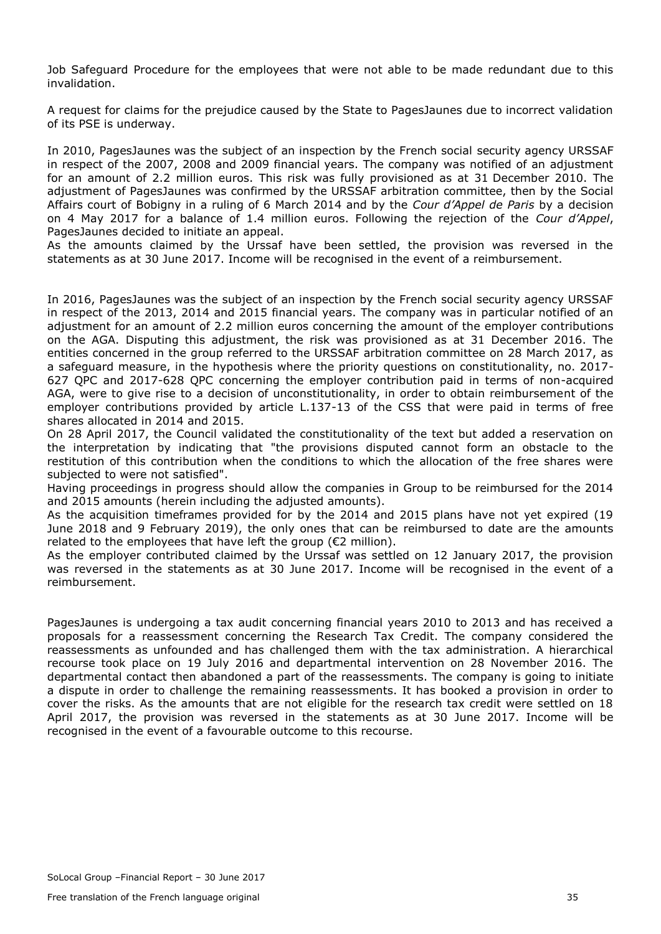Job Safeguard Procedure for the employees that were not able to be made redundant due to this invalidation.

A request for claims for the prejudice caused by the State to PagesJaunes due to incorrect validation of its PSE is underway.

In 2010, PagesJaunes was the subject of an inspection by the French social security agency URSSAF in respect of the 2007, 2008 and 2009 financial years. The company was notified of an adjustment for an amount of 2.2 million euros. This risk was fully provisioned as at 31 December 2010. The adjustment of PagesJaunes was confirmed by the URSSAF arbitration committee, then by the Social Affairs court of Bobigny in a ruling of 6 March 2014 and by the *Cour d'Appel de Paris* by a decision on 4 May 2017 for a balance of 1.4 million euros. Following the rejection of the *Cour d'Appel*, PagesJaunes decided to initiate an appeal.

As the amounts claimed by the Urssaf have been settled, the provision was reversed in the statements as at 30 June 2017. Income will be recognised in the event of a reimbursement.

In 2016, PagesJaunes was the subject of an inspection by the French social security agency URSSAF in respect of the 2013, 2014 and 2015 financial years. The company was in particular notified of an adjustment for an amount of 2.2 million euros concerning the amount of the employer contributions on the AGA. Disputing this adjustment, the risk was provisioned as at 31 December 2016. The entities concerned in the group referred to the URSSAF arbitration committee on 28 March 2017, as a safeguard measure, in the hypothesis where the priority questions on constitutionality, no. 2017- 627 QPC and 2017-628 QPC concerning the employer contribution paid in terms of non-acquired AGA, were to give rise to a decision of unconstitutionality, in order to obtain reimbursement of the employer contributions provided by article L.137-13 of the CSS that were paid in terms of free shares allocated in 2014 and 2015.

On 28 April 2017, the Council validated the constitutionality of the text but added a reservation on the interpretation by indicating that "the provisions disputed cannot form an obstacle to the restitution of this contribution when the conditions to which the allocation of the free shares were subjected to were not satisfied".

Having proceedings in progress should allow the companies in Group to be reimbursed for the 2014 and 2015 amounts (herein including the adjusted amounts).

As the acquisition timeframes provided for by the 2014 and 2015 plans have not yet expired (19 June 2018 and 9 February 2019), the only ones that can be reimbursed to date are the amounts related to the employees that have left the group ( $\epsilon$ 2 million).

As the employer contributed claimed by the Urssaf was settled on 12 January 2017, the provision was reversed in the statements as at 30 June 2017. Income will be recognised in the event of a reimbursement.

PagesJaunes is undergoing a tax audit concerning financial years 2010 to 2013 and has received a proposals for a reassessment concerning the Research Tax Credit. The company considered the reassessments as unfounded and has challenged them with the tax administration. A hierarchical recourse took place on 19 July 2016 and departmental intervention on 28 November 2016. The departmental contact then abandoned a part of the reassessments. The company is going to initiate a dispute in order to challenge the remaining reassessments. It has booked a provision in order to cover the risks. As the amounts that are not eligible for the research tax credit were settled on 18 April 2017, the provision was reversed in the statements as at 30 June 2017. Income will be recognised in the event of a favourable outcome to this recourse.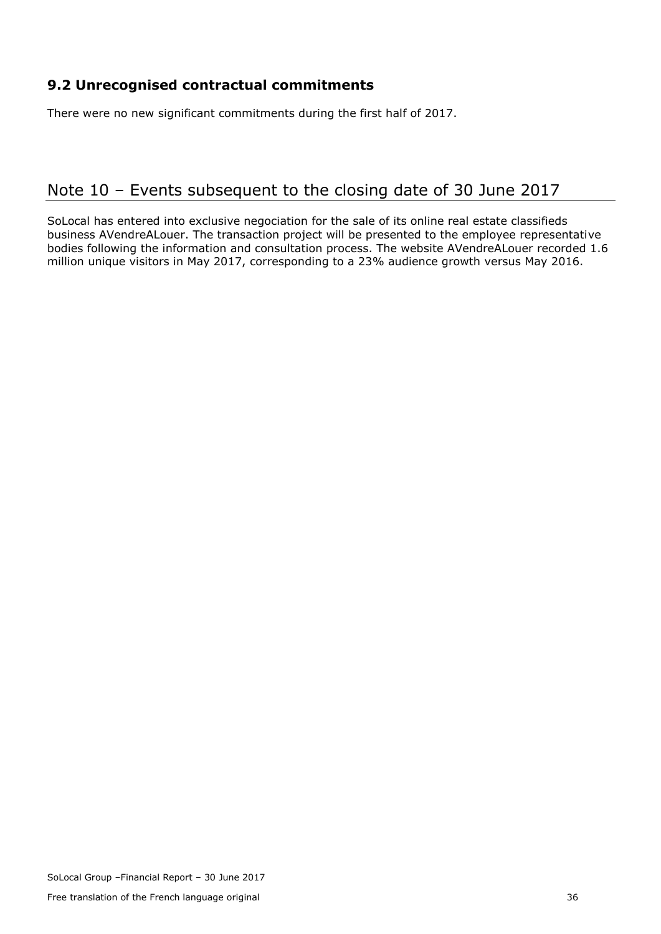## **9.2 Unrecognised contractual commitments**

There were no new significant commitments during the first half of 2017.

# <span id="page-36-0"></span>Note 10 – Events subsequent to the closing date of 30 June 2017

SoLocal has entered into exclusive negociation for the sale of its online real estate classifieds business AVendreALouer. The transaction project will be presented to the employee representative bodies following the information and consultation process. The website AVendreALouer recorded 1.6 million unique visitors in May 2017, corresponding to a 23% audience growth versus May 2016.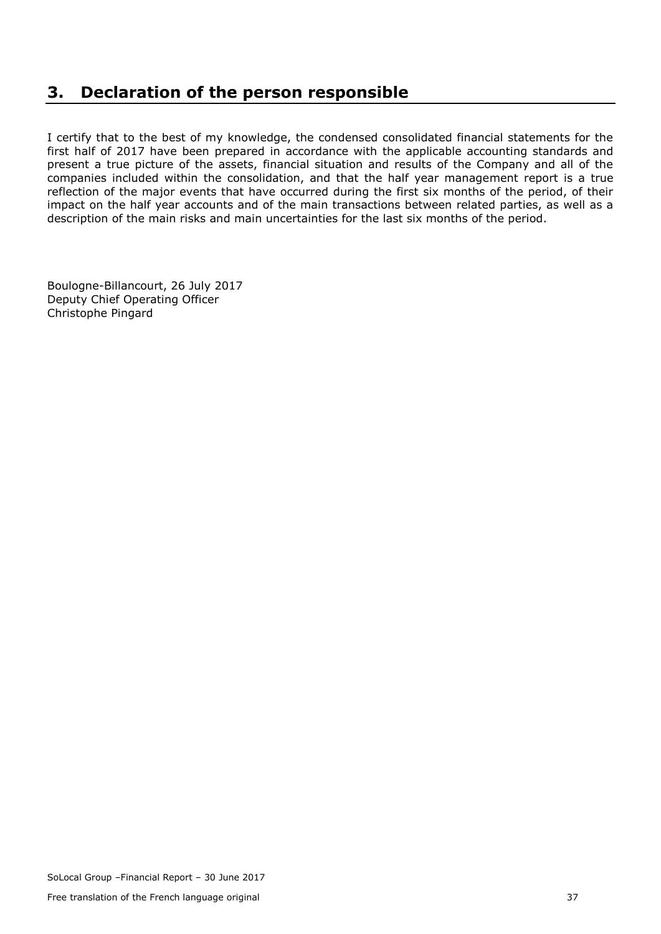# <span id="page-37-0"></span>**3. Declaration of the person responsible**

I certify that to the best of my knowledge, the condensed consolidated financial statements for the first half of 2017 have been prepared in accordance with the applicable accounting standards and present a true picture of the assets, financial situation and results of the Company and all of the companies included within the consolidation, and that the half year management report is a true reflection of the major events that have occurred during the first six months of the period, of their impact on the half year accounts and of the main transactions between related parties, as well as a description of the main risks and main uncertainties for the last six months of the period.

Boulogne-Billancourt, 26 July 2017 Deputy Chief Operating Officer Christophe Pingard